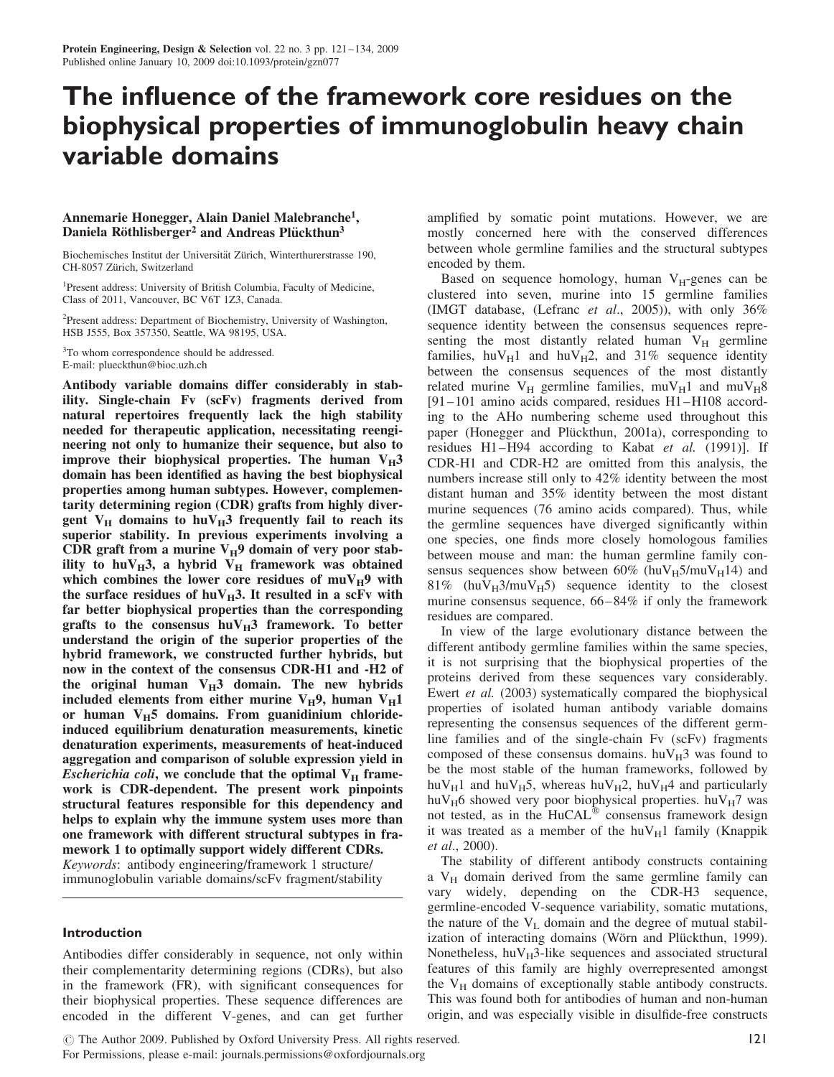# The influence of the framework core residues on the biophysical properties of immunoglobulin heavy chain variable domains

## Annemarie Honegger, Alain Daniel Malebranche1, Daniela Röthlisberger<sup>2</sup> and Andreas Plückthun<sup>3</sup>

Biochemisches Institut der Universität Zürich, Winterthurerstrasse 190, CH-8057 Zürich, Switzerland

<sup>1</sup>Present address: University of British Columbia, Faculty of Medicine, Class of 2011, Vancouver, BC V6T 1Z3, Canada.

<sup>2</sup>Present address: Department of Biochemistry, University of Washington, HSB J555, Box 357350, Seattle, WA 98195, USA.

<sup>3</sup>To whom correspondence should be addressed. E-mail: plueckthun@bioc.uzh.ch

Antibody variable domains differ considerably in stability. Single-chain Fv (scFv) fragments derived from natural repertoires frequently lack the high stability needed for therapeutic application, necessitating reengineering not only to humanize their sequence, but also to improve their biophysical properties. The human  $V_H3$ domain has been identified as having the best biophysical properties among human subtypes. However, complementarity determining region (CDR) grafts from highly divergent  $V_H$  domains to hu $V_H$ 3 frequently fail to reach its superior stability. In previous experiments involving a CDR graft from a murine  $V_H$ 9 domain of very poor stability to huV $_{\rm H}$ 3, a hybrid V<sub>H</sub> framework was obtained which combines the lower core residues of  $muV_H9$  with the surface residues of huV $_H$ 3. It resulted in a scFv with far better biophysical properties than the corresponding grafts to the consensus  $huv_H3$  framework. To better understand the origin of the superior properties of the hybrid framework, we constructed further hybrids, but now in the context of the consensus CDR-H1 and -H2 of the original human  $V_H3$  domain. The new hybrids included elements from either murine  $V_H$ 9, human  $V_H$ 1 or human  $V_H5$  domains. From guanidinium chlorideinduced equilibrium denaturation measurements, kinetic denaturation experiments, measurements of heat-induced aggregation and comparison of soluble expression yield in *Escherichia coli*, we conclude that the optimal  $V_H$  framework is CDR-dependent. The present work pinpoints structural features responsible for this dependency and helps to explain why the immune system uses more than one framework with different structural subtypes in framework 1 to optimally support widely different CDRs. Keywords: antibody engineering/framework 1 structure/ immunoglobulin variable domains/scFv fragment/stability

## Introduction

Antibodies differ considerably in sequence, not only within their complementarity determining regions (CDRs), but also in the framework (FR), with significant consequences for their biophysical properties. These sequence differences are encoded in the different V-genes, and can get further

amplified by somatic point mutations. However, we are mostly concerned here with the conserved differences between whole germline families and the structural subtypes encoded by them.

Based on sequence homology, human  $V_H$ -genes can be clustered into seven, murine into 15 germline families (IMGT database, (Lefranc et al., 2005)), with only 36% sequence identity between the consensus sequences representing the most distantly related human  $V_H$  germline families,  $huv_H1$  and  $huv_H2$ , and 31% sequence identity between the consensus sequences of the most distantly related murine  $V_H$  germline families, mu $V_H$ 1 and mu $V_H$ 8 [91–101 amino acids compared, residues H1–H108 according to the AHo numbering scheme used throughout this paper (Honegger and Plückthun, 2001a), corresponding to residues H1–H94 according to Kabat et al. (1991)]. If CDR-H1 and CDR-H2 are omitted from this analysis, the numbers increase still only to 42% identity between the most distant human and 35% identity between the most distant murine sequences (76 amino acids compared). Thus, while the germline sequences have diverged significantly within one species, one finds more closely homologous families between mouse and man: the human germline family consensus sequences show between  $60\%$  (huV $_H$ 5/muV $_H$ 14) and 81% (huV $_{\text{H}}$ 3/muV $_{\text{H}}$ 5) sequence identity to the closest murine consensus sequence, 66–84% if only the framework residues are compared.

In view of the large evolutionary distance between the different antibody germline families within the same species, it is not surprising that the biophysical properties of the proteins derived from these sequences vary considerably. Ewert et al. (2003) systematically compared the biophysical properties of isolated human antibody variable domains representing the consensus sequences of the different germline families and of the single-chain Fv (scFv) fragments composed of these consensus domains.  $h u V_H$ 3 was found to be the most stable of the human frameworks, followed by huV<sub>H</sub>1 and huV<sub>H</sub>5, whereas huV<sub>H</sub>2, huV<sub>H</sub>4 and particularly huV $_H$ 6 showed very poor biophysical properties. huV $_H$ 7 was not tested, as in the  $HuCAL^{\omega}$  consensus framework design it was treated as a member of the hu $V_H1$  family (Knappik et al., 2000).

The stability of different antibody constructs containing a  $V_H$  domain derived from the same germline family can vary widely, depending on the CDR-H3 sequence, germline-encoded V-sequence variability, somatic mutations, the nature of the  $V<sub>L</sub>$  domain and the degree of mutual stabilization of interacting domains (Wörn and Plückthun, 1999). Nonetheless,  $huV_H3$ -like sequences and associated structural features of this family are highly overrepresented amongst the  $V_H$  domains of exceptionally stable antibody constructs. This was found both for antibodies of human and non-human origin, and was especially visible in disulfide-free constructs

© The Author 2009. Published by Oxford University Press. All rights reserved.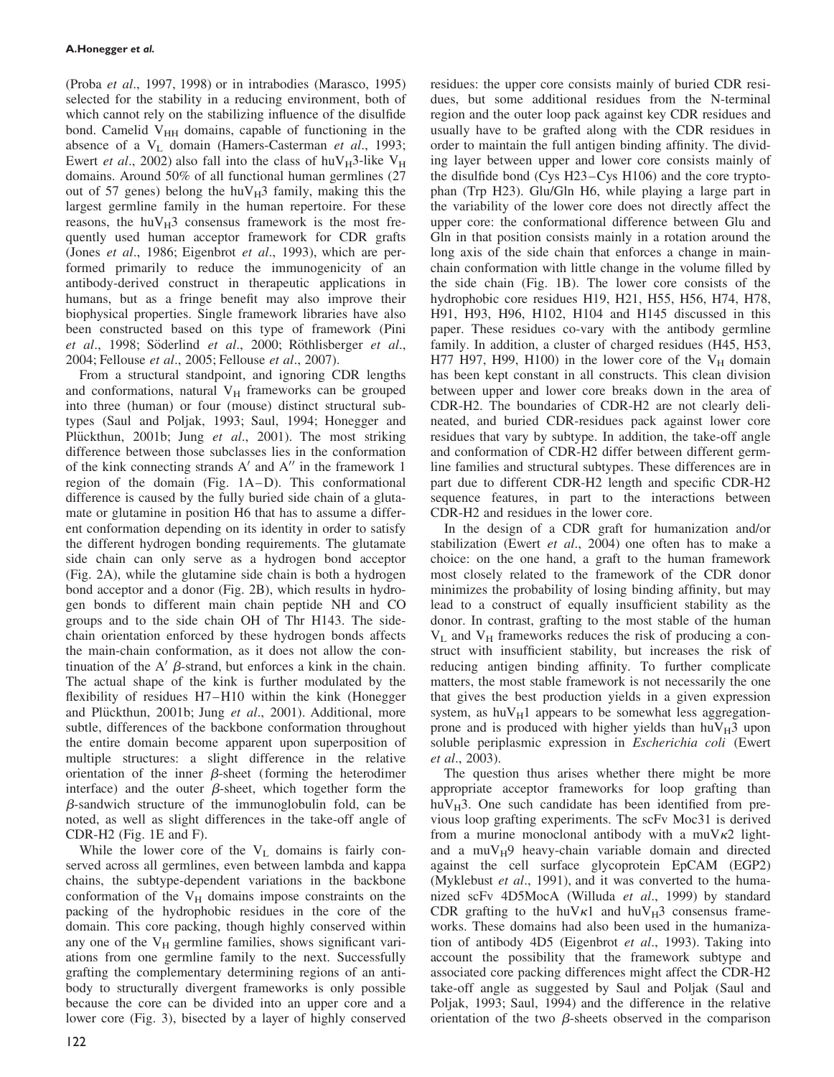(Proba et al., 1997, 1998) or in intrabodies (Marasco, 1995) selected for the stability in a reducing environment, both of which cannot rely on the stabilizing influence of the disulfide bond. Camelid  $V<sub>HH</sub>$  domains, capable of functioning in the absence of a  $V_L$  domain (Hamers-Casterman *et al.*, 1993; Ewert *et al.*, 2002) also fall into the class of huV<sub>H</sub>3-like V<sub>H</sub> domains. Around 50% of all functional human germlines (27 out of 57 genes) belong the huV $_{H}$ 3 family, making this the largest germline family in the human repertoire. For these reasons, the huV $_{\rm H}$ 3 consensus framework is the most frequently used human acceptor framework for CDR grafts (Jones et al., 1986; Eigenbrot et al., 1993), which are performed primarily to reduce the immunogenicity of an antibody-derived construct in therapeutic applications in humans, but as a fringe benefit may also improve their biophysical properties. Single framework libraries have also been constructed based on this type of framework (Pini et al., 1998; Söderlind et al., 2000; Röthlisberger et al., 2004; Fellouse et al., 2005; Fellouse et al., 2007).

From a structural standpoint, and ignoring CDR lengths and conformations, natural  $V_H$  frameworks can be grouped into three (human) or four (mouse) distinct structural subtypes (Saul and Poljak, 1993; Saul, 1994; Honegger and Plückthun, 2001b; Jung et al., 2001). The most striking difference between those subclasses lies in the conformation of the kink connecting strands  $A'$  and  $A''$  in the framework 1 region of the domain (Fig. 1A–D). This conformational difference is caused by the fully buried side chain of a glutamate or glutamine in position H6 that has to assume a different conformation depending on its identity in order to satisfy the different hydrogen bonding requirements. The glutamate side chain can only serve as a hydrogen bond acceptor (Fig. 2A), while the glutamine side chain is both a hydrogen bond acceptor and a donor (Fig. 2B), which results in hydrogen bonds to different main chain peptide NH and CO groups and to the side chain OH of Thr H143. The sidechain orientation enforced by these hydrogen bonds affects the main-chain conformation, as it does not allow the continuation of the A'  $\beta$ -strand, but enforces a kink in the chain. The actual shape of the kink is further modulated by the flexibility of residues H7–H10 within the kink (Honegger and Plückthun, 2001b; Jung et al., 2001). Additional, more subtle, differences of the backbone conformation throughout the entire domain become apparent upon superposition of multiple structures: a slight difference in the relative orientation of the inner  $\beta$ -sheet (forming the heterodimer interface) and the outer  $\beta$ -sheet, which together form the  $\beta$ -sandwich structure of the immunoglobulin fold, can be noted, as well as slight differences in the take-off angle of CDR-H2 (Fig. 1E and F).

While the lower core of the  $V_L$  domains is fairly conserved across all germlines, even between lambda and kappa chains, the subtype-dependent variations in the backbone conformation of the  $V_H$  domains impose constraints on the packing of the hydrophobic residues in the core of the domain. This core packing, though highly conserved within any one of the  $V_H$  germline families, shows significant variations from one germline family to the next. Successfully grafting the complementary determining regions of an antibody to structurally divergent frameworks is only possible because the core can be divided into an upper core and a lower core (Fig. 3), bisected by a layer of highly conserved residues: the upper core consists mainly of buried CDR residues, but some additional residues from the N-terminal region and the outer loop pack against key CDR residues and usually have to be grafted along with the CDR residues in order to maintain the full antigen binding affinity. The dividing layer between upper and lower core consists mainly of the disulfide bond (Cys H23–Cys H106) and the core tryptophan (Trp H23). Glu/Gln H6, while playing a large part in the variability of the lower core does not directly affect the upper core: the conformational difference between Glu and Gln in that position consists mainly in a rotation around the long axis of the side chain that enforces a change in mainchain conformation with little change in the volume filled by the side chain (Fig. 1B). The lower core consists of the hydrophobic core residues H19, H21, H55, H56, H74, H78, H91, H93, H96, H102, H104 and H145 discussed in this paper. These residues co-vary with the antibody germline family. In addition, a cluster of charged residues (H45, H53, H77 H97, H99, H100) in the lower core of the  $V_H$  domain has been kept constant in all constructs. This clean division between upper and lower core breaks down in the area of CDR-H2. The boundaries of CDR-H2 are not clearly delineated, and buried CDR-residues pack against lower core residues that vary by subtype. In addition, the take-off angle and conformation of CDR-H2 differ between different germline families and structural subtypes. These differences are in part due to different CDR-H2 length and specific CDR-H2 sequence features, in part to the interactions between CDR-H2 and residues in the lower core.

In the design of a CDR graft for humanization and/or stabilization (Ewert et al., 2004) one often has to make a choice: on the one hand, a graft to the human framework most closely related to the framework of the CDR donor minimizes the probability of losing binding affinity, but may lead to a construct of equally insufficient stability as the donor. In contrast, grafting to the most stable of the human  $V_L$  and  $V_H$  frameworks reduces the risk of producing a construct with insufficient stability, but increases the risk of reducing antigen binding affinity. To further complicate matters, the most stable framework is not necessarily the one that gives the best production yields in a given expression system, as  $huv_H1$  appears to be somewhat less aggregationprone and is produced with higher yields than  $huv_H3$  upon soluble periplasmic expression in Escherichia coli (Ewert et al., 2003).

The question thus arises whether there might be more appropriate acceptor frameworks for loop grafting than hu $V_H$ 3. One such candidate has been identified from previous loop grafting experiments. The scFv Moc31 is derived from a murine monoclonal antibody with a  $muV\kappa2$  lightand a muV $_{\rm H}$ 9 heavy-chain variable domain and directed against the cell surface glycoprotein EpCAM (EGP2) (Myklebust et al., 1991), and it was converted to the humanized scFv 4D5MocA (Willuda et al., 1999) by standard CDR grafting to the huV $\kappa$ 1 and huV $_H$ 3 consensus frameworks. These domains had also been used in the humanization of antibody 4D5 (Eigenbrot et al., 1993). Taking into account the possibility that the framework subtype and associated core packing differences might affect the CDR-H2 take-off angle as suggested by Saul and Poljak (Saul and Poljak, 1993; Saul, 1994) and the difference in the relative orientation of the two  $\beta$ -sheets observed in the comparison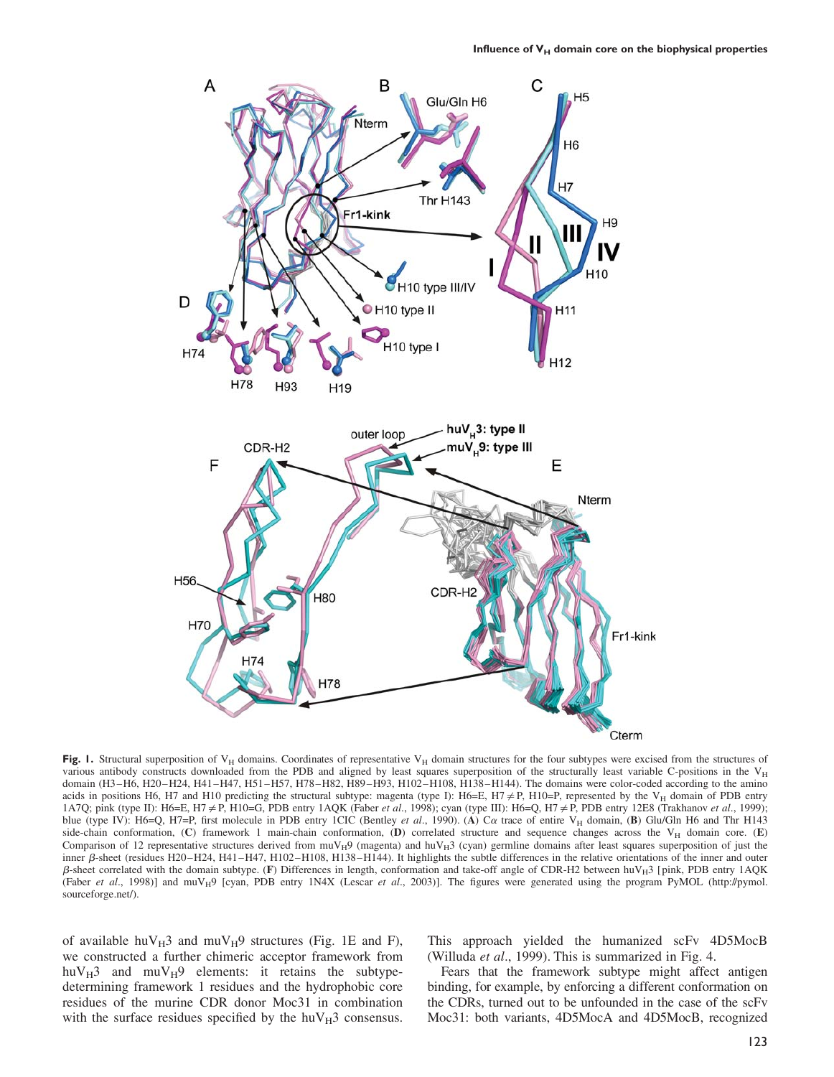

Fig. 1. Structural superposition of  $V_H$  domains. Coordinates of representative  $V_H$  domain structures for the four subtypes were excised from the structures of various antibody constructs downloaded from the PDB and aligned by least squares superposition of the structurally least variable C-positions in the  $V_H$ domain (H3–H6, H20–H24, H41–H47, H51–H57, H78–H82, H89–H93, H102–H108, H138–H144). The domains were color-coded according to the amino acids in positions H6, H7 and H10 predicting the structural subtype: magenta (type I): H6=E, H7  $\neq$  P, H10=P, represented by the V<sub>H</sub> domain of PDB entry 1A7Q; pink (type II): H6=E, H7  $\neq$  P, H10=G, PDB entry 1AQK (Faber et al., 1998); cyan (type III): H6=Q, H7  $\neq$  P, PDB entry 12E8 (Trakhanov et al., 1999); blue (type IV): H6=Q, H7=P, first molecule in PDB entry 1CIC (Bentley et al., 1990). (A) C $\alpha$  trace of entire V<sub>H</sub> domain, (B) Glu/Gln H6 and Thr H143 side-chain conformation, (C) framework 1 main-chain conformation, (D) correlated structure and sequence changes across the  $V_H$  domain core. (E) Comparison of 12 representative structures derived from  $muV_H9$  (magenta) and  $huV_H3$  (cyan) germline domains after least squares superposition of just the inner  $\beta$ -sheet (residues H20–H24, H41–H47, H102–H108, H138–H144). It highlights the subtle differences in the relative orientations of the inner and outer  $\beta$ -sheet correlated with the domain subtype. (F) Differences in length, conformation and take-off angle of CDR-H2 between huV $_H$ 3 [pink, PDB entry 1AQK (Faber et al., 1998)] and muV<sub>H</sub>9 [cyan, PDB entry 1N4X (Lescar et al., 2003)]. The figures were generated using the program PyMOL (http://pymol. sourceforge.net/).

of available huV $_{\rm H}$ 3 and muV $_{\rm H}$ 9 structures (Fig. 1E and F), we constructed a further chimeric acceptor framework from huV $_{\rm H}$ 3 and muV $_{\rm H}$ 9 elements: it retains the subtypedetermining framework 1 residues and the hydrophobic core residues of the murine CDR donor Moc31 in combination with the surface residues specified by the  $huv_H3$  consensus. This approach yielded the humanized scFv 4D5MocB (Willuda et al., 1999). This is summarized in Fig. 4.

Fears that the framework subtype might affect antigen binding, for example, by enforcing a different conformation on the CDRs, turned out to be unfounded in the case of the scFv Moc31: both variants, 4D5MocA and 4D5MocB, recognized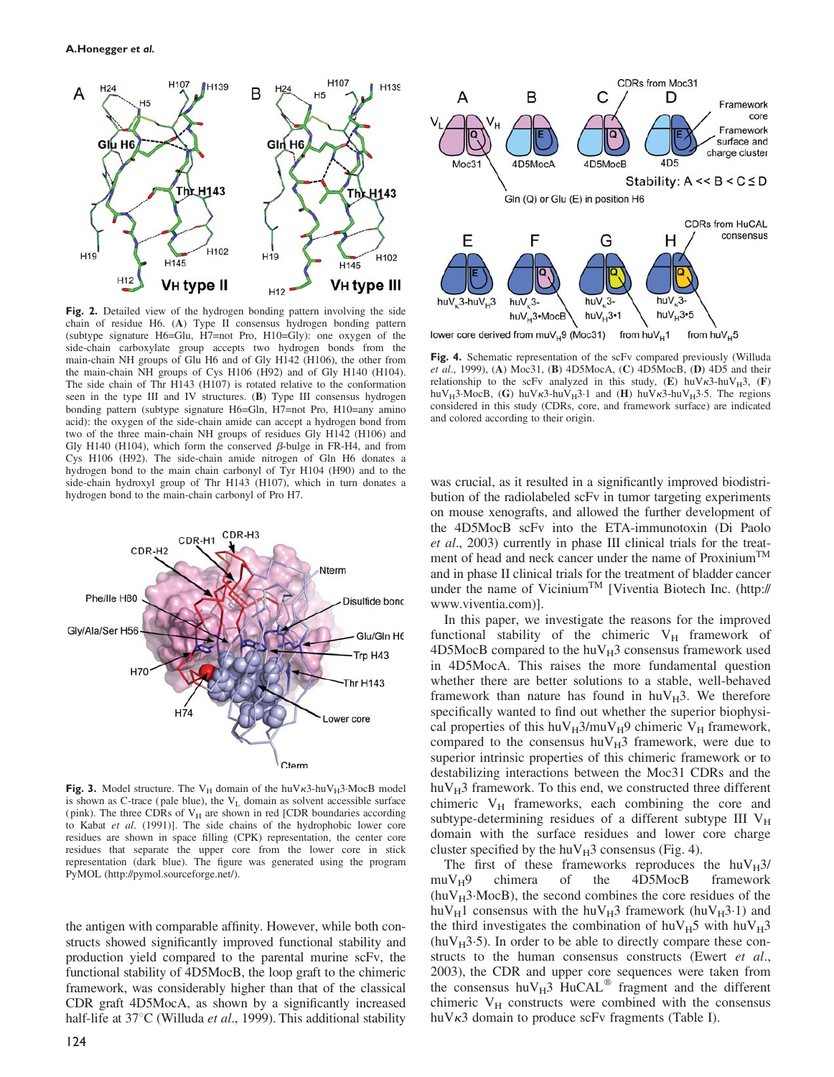

Fig. 2. Detailed view of the hydrogen bonding pattern involving the side chain of residue H6. (A) Type II consensus hydrogen bonding pattern (subtype signature H6=Glu, H7=not Pro, H10=Gly): one oxygen of the side-chain carboxylate group accepts two hydrogen bonds from the main-chain NH groups of Glu H6 and of Gly H142 (H106), the other from the main-chain NH groups of Cys H106 (H92) and of Gly H140 (H104). The side chain of Thr H143 (H107) is rotated relative to the conformation seen in the type III and IV structures. (B) Type III consensus hydrogen bonding pattern (subtype signature H6=Gln, H7=not Pro, H10=any amino acid): the oxygen of the side-chain amide can accept a hydrogen bond from two of the three main-chain NH groups of residues Gly H142 (H106) and Gly H140 (H104), which form the conserved  $\beta$ -bulge in FR-H4, and from Cys H106 (H92). The side-chain amide nitrogen of Gln H6 donates a hydrogen bond to the main chain carbonyl of Tyr H104 (H90) and to the side-chain hydroxyl group of Thr H143 (H107), which in turn donates a hydrogen bond to the main-chain carbonyl of Pro H7.



Fig. 3. Model structure. The V<sub>H</sub> domain of the huV $\kappa$ 3-huV<sub>H</sub>3·MocB model is shown as C-trace (pale blue), the  $V_L$  domain as solvent accessible surface (pink). The three CDRs of  $V_H$  are shown in red [CDR boundaries according to Kabat et al. (1991)]. The side chains of the hydrophobic lower core residues are shown in space filling (CPK) representation, the center core residues that separate the upper core from the lower core in stick representation (dark blue). The figure was generated using the program PyMOL (http://pymol.sourceforge.net/).

the antigen with comparable affinity. However, while both constructs showed significantly improved functional stability and production yield compared to the parental murine scFv, the functional stability of 4D5MocB, the loop graft to the chimeric framework, was considerably higher than that of the classical CDR graft 4D5MocA, as shown by a significantly increased half-life at  $37^{\circ}$ C (Willuda *et al.*, 1999). This additional stability



lower core derived from muV<sub>H</sub>9 (Moc31) from  $huV_H$ 1 from huV<sub>u</sub>5

Fig. 4. Schematic representation of the scFv compared previously (Willuda et al., 1999), (A) Moc31, (B) 4D5MocA, (C) 4D5MocB, (D) 4D5 and their relationship to the scFv analyzed in this study,  $(E)$  huV $\kappa$ 3-huV $_{H}$ 3,  $(F)$ huV<sub>H</sub>3·MocB, (G) huV $\kappa$ 3-huV<sub>H</sub>3·1 and (H) huV $\kappa$ 3-huV<sub>H</sub>3·5. The regions considered in this study (CDRs, core, and framework surface) are indicated and colored according to their origin.

was crucial, as it resulted in a significantly improved biodistribution of the radiolabeled scFv in tumor targeting experiments on mouse xenografts, and allowed the further development of the 4D5MocB scFv into the ETA-immunotoxin (Di Paolo et al., 2003) currently in phase III clinical trials for the treatment of head and neck cancer under the name of Proxinium<sup>TM</sup> and in phase II clinical trials for the treatment of bladder cancer under the name of Vicinium<sup>TM</sup> [Viventia Biotech Inc. (http:// www.viventia.com)].

In this paper, we investigate the reasons for the improved functional stability of the chimeric  $V_H$  framework of  $4D5MocB$  compared to the hu $V_H3$  consensus framework used in 4D5MocA. This raises the more fundamental question whether there are better solutions to a stable, well-behaved framework than nature has found in  $huv_H3$ . We therefore specifically wanted to find out whether the superior biophysical properties of this huV $_H$ 3/muV $_H$ 9 chimeric V $_H$  framework, compared to the consensus  $huV_H3$  framework, were due to superior intrinsic properties of this chimeric framework or to destabilizing interactions between the Moc31 CDRs and the  $huV_H3$  framework. To this end, we constructed three different chimeric  $V_H$  frameworks, each combining the core and subtype-determining residues of a different subtype III  $V_H$ domain with the surface residues and lower core charge cluster specified by the huV $_{\rm H}$ 3 consensus (Fig. 4).

The first of these frameworks reproduces the  $huv_H3/muv_H9$  chimera of the 4D5MocB framework 4D5MocB  $(huV_H3 \cdot MocB)$ , the second combines the core residues of the huV $_H$ 1 consensus with the huV $_H$ 3 framework (huV $_H$ 3.1) and the third investigates the combination of  $h u V_H5$  with  $h u V_H3$  $(huV_H3.5)$ . In order to be able to directly compare these constructs to the human consensus constructs (Ewert et al., 2003), the CDR and upper core sequences were taken from the consensus huV $_H$ 3 HuCAL<sup>®</sup> fragment and the different chimeric  $V_H$  constructs were combined with the consensus huV $\kappa$ 3 domain to produce scFv fragments (Table I).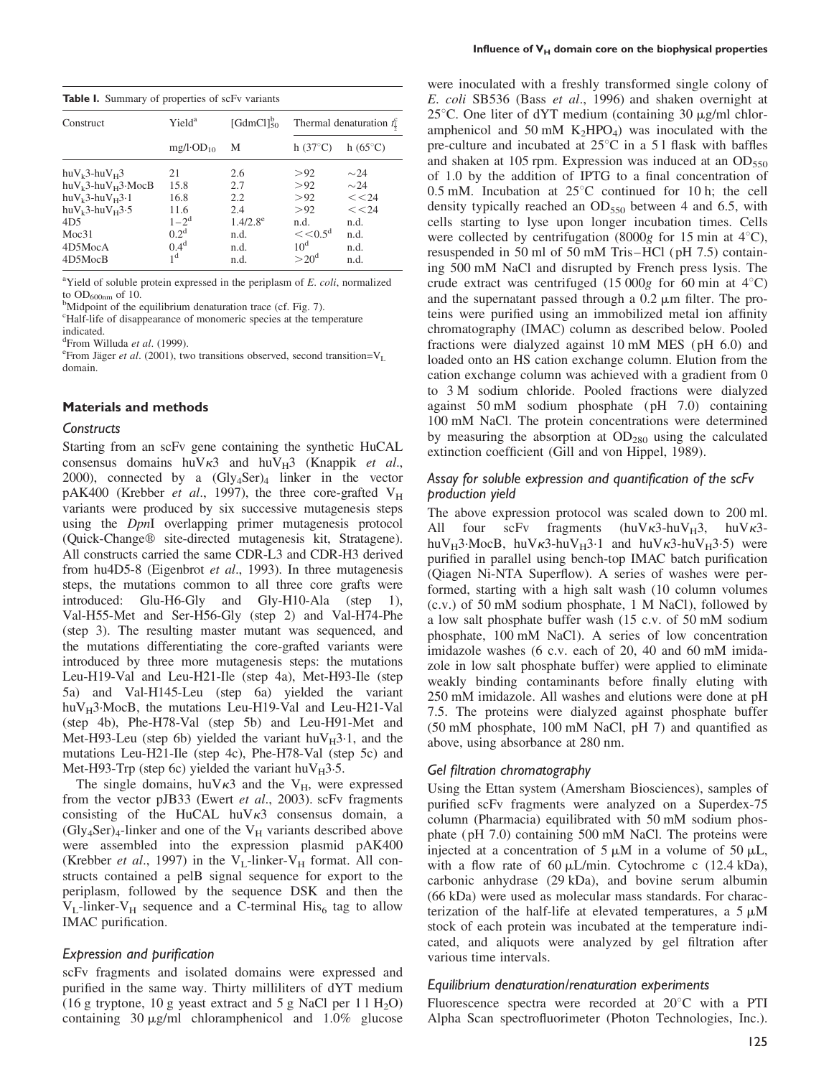|  | <b>Table I.</b> Summary of properties of scFv variants |  |  |  |  |  |
|--|--------------------------------------------------------|--|--|--|--|--|
|--|--------------------------------------------------------|--|--|--|--|--|

| $[GdmCl]_{50}^{b}$<br>Yield <sup>a</sup><br>Thermal denaturation $f_1^c$<br>Construct<br>h $(37^{\circ}C)$<br>h $(65^{\circ}C)$<br>$mg/l \cdot OD_{10}$<br>М<br>> 92<br>$huV_k3-huV_H3$<br>2.6<br>$\sim$ 24<br>21<br>> 92<br>$\sim$ 24<br>$huV_k3-huV_H3 \cdot MocB$<br>15.8<br>2.7<br><< 24<br>>92<br>$huV_k3-huV_H3.1$<br>16.8<br>2.2<br>> 92<br><< 24<br>2.4<br>$huV_k3-huV_H3.5$<br>11.6<br>$1 - 2^d$<br>$1.4/2.8^{\circ}$<br>4D <sub>5</sub><br>n.d.<br>n.d.<br>0.2 <sup>d</sup><br>$<< 0.5^{\rm d}$<br>Moc31<br>n.d.<br>n.d.<br>0.4 <sup>d</sup><br>10 <sup>d</sup><br>n.d.<br>4D5MocA<br>n.d.<br>1 <sup>d</sup><br>$>20^{\rm d}$<br>4D5MocB<br>n.d.<br>n.d. |  |  |  |  |
|--------------------------------------------------------------------------------------------------------------------------------------------------------------------------------------------------------------------------------------------------------------------------------------------------------------------------------------------------------------------------------------------------------------------------------------------------------------------------------------------------------------------------------------------------------------------------------------------------------------------------------------------------------------------|--|--|--|--|
|                                                                                                                                                                                                                                                                                                                                                                                                                                                                                                                                                                                                                                                                    |  |  |  |  |
|                                                                                                                                                                                                                                                                                                                                                                                                                                                                                                                                                                                                                                                                    |  |  |  |  |
|                                                                                                                                                                                                                                                                                                                                                                                                                                                                                                                                                                                                                                                                    |  |  |  |  |
|                                                                                                                                                                                                                                                                                                                                                                                                                                                                                                                                                                                                                                                                    |  |  |  |  |
|                                                                                                                                                                                                                                                                                                                                                                                                                                                                                                                                                                                                                                                                    |  |  |  |  |
|                                                                                                                                                                                                                                                                                                                                                                                                                                                                                                                                                                                                                                                                    |  |  |  |  |
|                                                                                                                                                                                                                                                                                                                                                                                                                                                                                                                                                                                                                                                                    |  |  |  |  |
|                                                                                                                                                                                                                                                                                                                                                                                                                                                                                                                                                                                                                                                                    |  |  |  |  |
|                                                                                                                                                                                                                                                                                                                                                                                                                                                                                                                                                                                                                                                                    |  |  |  |  |
|                                                                                                                                                                                                                                                                                                                                                                                                                                                                                                                                                                                                                                                                    |  |  |  |  |

<sup>a</sup>Yield of soluble protein expressed in the periplasm of  $E.$  coli, normalized to  $OD_{600nm}$  of 10.

<sup>b</sup>Midpoint of the equilibrium denaturation trace (cf. Fig. 7).

c Half-life of disappearance of monomeric species at the temperature indicated.

<sup>d</sup>From Willuda *et al.* (1999).

<sup>e</sup> From Jäger *et al.* (2001), two transitions observed, second transition= $V_L$ domain.

## Materials and methods

## **Constructs**

Starting from an scFv gene containing the synthetic HuCAL consensus domains huV $\kappa$ 3 and huV $\mu$ 3 (Knappik *et al.*, 2000), connected by a  $(Gly<sub>4</sub>Ser)<sub>4</sub>$  linker in the vector pAK400 (Krebber et al., 1997), the three core-grafted  $V_H$ variants were produced by six successive mutagenesis steps using the DpnI overlapping primer mutagenesis protocol (Quick-Changew site-directed mutagenesis kit, Stratagene). All constructs carried the same CDR-L3 and CDR-H3 derived from hu4D5-8 (Eigenbrot et al., 1993). In three mutagenesis steps, the mutations common to all three core grafts were introduced: Glu-H6-Gly and Gly-H10-Ala (step 1), Val-H55-Met and Ser-H56-Gly (step 2) and Val-H74-Phe (step 3). The resulting master mutant was sequenced, and the mutations differentiating the core-grafted variants were introduced by three more mutagenesis steps: the mutations Leu-H19-Val and Leu-H21-Ile (step 4a), Met-H93-Ile (step 5a) and Val-H145-Leu (step 6a) yielded the variant huV $_H$ 3.MocB, the mutations Leu-H19-Val and Leu-H21-Val (step 4b), Phe-H78-Val (step 5b) and Leu-H91-Met and Met-H93-Leu (step 6b) yielded the variant  $h\nu_{\rm H}$ 3.1, and the mutations Leu-H21-Ile (step 4c), Phe-H78-Val (step 5c) and Met-H93-Trp (step 6c) yielded the variant  $huv_H3.5$ .

The single domains, huV $\kappa$ 3 and the V<sub>H</sub>, were expressed from the vector pJB33 (Ewert et al., 2003). scFv fragments consisting of the HuCAL huV $\kappa$ 3 consensus domain, a  $(Gly<sub>4</sub>Ser)<sub>4</sub>$ -linker and one of the V<sub>H</sub> variants described above were assembled into the expression plasmid pAK400 (Krebber et al., 1997) in the  $V_L$ -linker- $V_H$  format. All constructs contained a pelB signal sequence for export to the periplasm, followed by the sequence DSK and then the  $V_L$ -linker- $V_H$  sequence and a C-terminal His<sub>6</sub> tag to allow IMAC purification.

## Expression and purification

scFv fragments and isolated domains were expressed and purified in the same way. Thirty milliliters of dYT medium (16 g tryptone, 10 g yeast extract and 5 g NaCl per  $11 H<sub>2</sub>O$ ) containing 30  $\mu$ g/ml chloramphenicol and 1.0% glucose

were inoculated with a freshly transformed single colony of E. coli SB536 (Bass et al., 1996) and shaken overnight at 25 $\degree$ C. One liter of dYT medium (containing 30  $\mu$ g/ml chloramphenicol and 50 mM  $K_2HPO_4$ ) was inoculated with the pre-culture and incubated at  $25^{\circ}$ C in a 5 l flask with baffles and shaken at 105 rpm. Expression was induced at an  $OD_{550}$ of 1.0 by the addition of IPTG to a final concentration of 0.5 mM. Incubation at  $25^{\circ}$ C continued for 10 h; the cell density typically reached an  $OD_{550}$  between 4 and 6.5, with cells starting to lyse upon longer incubation times. Cells were collected by centrifugation (8000g for 15 min at  $4^{\circ}$ C), resuspended in 50 ml of 50 mM Tris–HCl (pH 7.5) containing 500 mM NaCl and disrupted by French press lysis. The crude extract was centrifuged (15 000g for 60 min at  $4^{\circ}$ C) and the supernatant passed through a  $0.2 \mu m$  filter. The proteins were purified using an immobilized metal ion affinity chromatography (IMAC) column as described below. Pooled fractions were dialyzed against 10 mM MES (pH 6.0) and loaded onto an HS cation exchange column. Elution from the cation exchange column was achieved with a gradient from 0 to 3 M sodium chloride. Pooled fractions were dialyzed against 50 mM sodium phosphate (pH 7.0) containing 100 mM NaCl. The protein concentrations were determined by measuring the absorption at  $OD_{280}$  using the calculated extinction coefficient (Gill and von Hippel, 1989).

# Assay for soluble expression and quantification of the scFv production yield

The above expression protocol was scaled down to 200 ml. All four scFv fragments (huV $\kappa$ 3-huV $_H$ 3, huV $\kappa$ 3huV<sub>H</sub>3.MocB, huV $\kappa$ 3-huV<sub>H</sub>3.1 and huV $\kappa$ 3-huV<sub>H</sub>3.5) were purified in parallel using bench-top IMAC batch purification (Qiagen Ni-NTA Superflow). A series of washes were performed, starting with a high salt wash (10 column volumes (c.v.) of 50 mM sodium phosphate, 1 M NaCl), followed by a low salt phosphate buffer wash (15 c.v. of 50 mM sodium phosphate, 100 mM NaCl). A series of low concentration imidazole washes (6 c.v. each of 20, 40 and 60 mM imidazole in low salt phosphate buffer) were applied to eliminate weakly binding contaminants before finally eluting with 250 mM imidazole. All washes and elutions were done at pH 7.5. The proteins were dialyzed against phosphate buffer (50 mM phosphate, 100 mM NaCl, pH 7) and quantified as above, using absorbance at 280 nm.

# Gel filtration chromatography

Using the Ettan system (Amersham Biosciences), samples of purified scFv fragments were analyzed on a Superdex-75 column (Pharmacia) equilibrated with 50 mM sodium phosphate (pH 7.0) containing 500 mM NaCl. The proteins were injected at a concentration of  $5 \mu M$  in a volume of  $50 \mu L$ , with a flow rate of 60  $\mu$ L/min. Cytochrome c (12.4 kDa), carbonic anhydrase (29 kDa), and bovine serum albumin (66 kDa) were used as molecular mass standards. For characterization of the half-life at elevated temperatures, a  $5 \mu M$ stock of each protein was incubated at the temperature indicated, and aliquots were analyzed by gel filtration after various time intervals.

## Equilibrium denaturation/renaturation experiments

Fluorescence spectra were recorded at  $20^{\circ}$ C with a PTI Alpha Scan spectrofluorimeter (Photon Technologies, Inc.).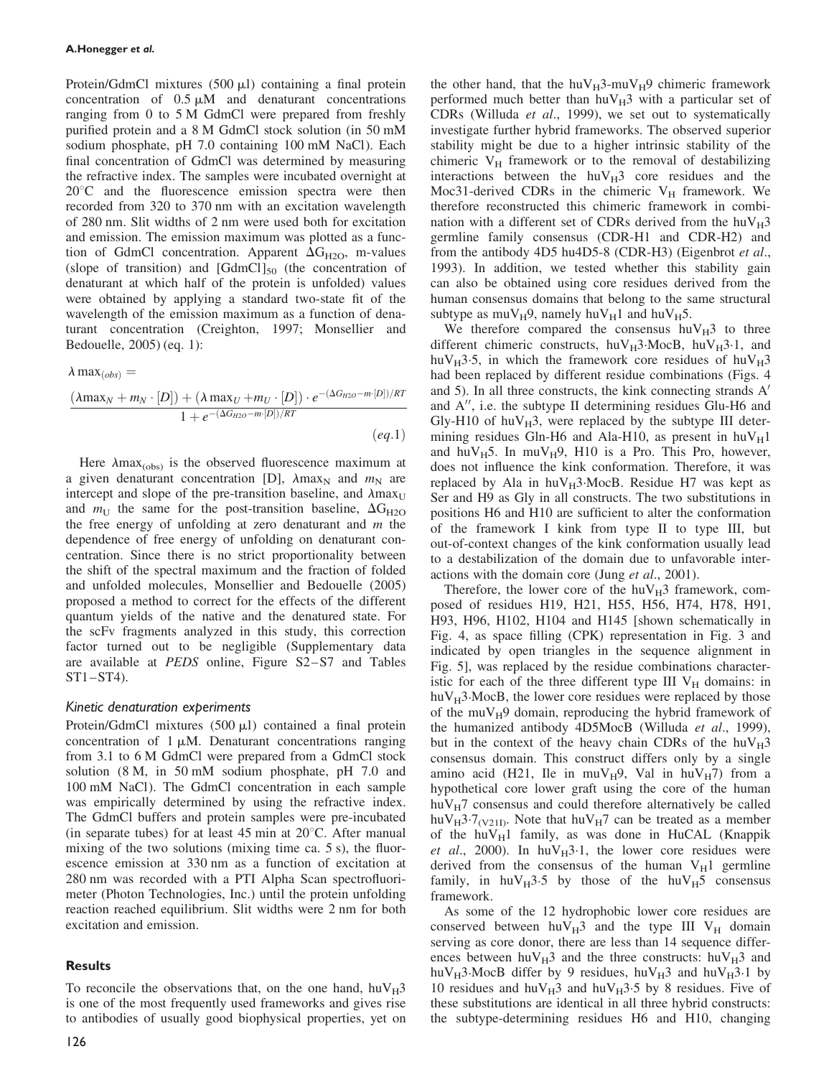Protein/GdmCl mixtures  $(500 \mu l)$  containing a final protein concentration of  $0.5 \mu M$  and denaturant concentrations ranging from 0 to 5 M GdmCl were prepared from freshly purified protein and a 8 M GdmCl stock solution (in 50 mM sodium phosphate, pH 7.0 containing 100 mM NaCl). Each final concentration of GdmCl was determined by measuring the refractive index. The samples were incubated overnight at  $20^{\circ}$ C and the fluorescence emission spectra were then recorded from 320 to 370 nm with an excitation wavelength of 280 nm. Slit widths of 2 nm were used both for excitation and emission. The emission maximum was plotted as a function of GdmCl concentration. Apparent  $\Delta G_{H2O}$ , m-values (slope of transition) and  $[GdmCl]_{50}$  (the concentration of denaturant at which half of the protein is unfolded) values were obtained by applying a standard two-state fit of the wavelength of the emission maximum as a function of denaturant concentration (Creighton, 1997; Monsellier and Bedouelle, 2005) (eq. 1):

 $\lambda$  max $_{(obs)}$  =

$$
\frac{(\lambda \max_N + m_N \cdot [D]) + (\lambda \max_U + m_U \cdot [D]) \cdot e^{-(\Delta G_{H2O} - m \cdot [D])/RT}}{1 + e^{-(\Delta G_{H2O} - m \cdot [D])/RT}}
$$
\n
$$
(eq.1)
$$

Here  $\lambda$ max<sub>(obs)</sub> is the observed fluorescence maximum at a given denaturant concentration [D],  $\lambda$ max<sub>N</sub> and  $m$ <sub>N</sub> are intercept and slope of the pre-transition baseline, and  $\lambda$ max<sub>U</sub> and  $m_{\text{U}}$  the same for the post-transition baseline,  $\Delta G_{\text{H2O}}$ the free energy of unfolding at zero denaturant and  $m$  the dependence of free energy of unfolding on denaturant concentration. Since there is no strict proportionality between the shift of the spectral maximum and the fraction of folded and unfolded molecules, Monsellier and Bedouelle (2005) proposed a method to correct for the effects of the different quantum yields of the native and the denatured state. For the scFv fragments analyzed in this study, this correction factor turned out to be negligible (Supplementary data are available at PEDS online, Figure S2–S7 and Tables ST1–ST4).

## Kinetic denaturation experiments

Protein/GdmCl mixtures  $(500 \mu l)$  contained a final protein concentration of  $1 \mu M$ . Denaturant concentrations ranging from 3.1 to 6 M GdmCl were prepared from a GdmCl stock solution (8 M, in 50 mM sodium phosphate, pH 7.0 and 100 mM NaCl). The GdmCl concentration in each sample was empirically determined by using the refractive index. The GdmCl buffers and protein samples were pre-incubated (in separate tubes) for at least 45 min at  $20^{\circ}$ C. After manual mixing of the two solutions (mixing time ca. 5 s), the fluorescence emission at 330 nm as a function of excitation at 280 nm was recorded with a PTI Alpha Scan spectrofluorimeter (Photon Technologies, Inc.) until the protein unfolding reaction reached equilibrium. Slit widths were 2 nm for both excitation and emission.

## **Results**

To reconcile the observations that, on the one hand,  $h u V_H$ 3 is one of the most frequently used frameworks and gives rise to antibodies of usually good biophysical properties, yet on the other hand, that the huV $_{\rm H}$ 3-muV $_{\rm H}$ 9 chimeric framework performed much better than  $h\nu_{\rm H}$ 3 with a particular set of CDRs (Willuda et al., 1999), we set out to systematically investigate further hybrid frameworks. The observed superior stability might be due to a higher intrinsic stability of the chimeric  $V_H$  framework or to the removal of destabilizing interactions between the  $huV_H3$  core residues and the Moc31-derived CDRs in the chimeric  $V_H$  framework. We therefore reconstructed this chimeric framework in combination with a different set of CDRs derived from the  $huv_H3$ germline family consensus (CDR-H1 and CDR-H2) and from the antibody 4D5 hu4D5-8 (CDR-H3) (Eigenbrot et al., 1993). In addition, we tested whether this stability gain can also be obtained using core residues derived from the human consensus domains that belong to the same structural subtype as  $muV_H9$ , namely hu $V_H1$  and  $huV_H5$ .

We therefore compared the consensus  $h\nu_{\rm H}$ <sup>3</sup> to three different chimeric constructs,  $h u V_H$ 3. MocB,  $h u V_H$ 3.1, and huV<sub>H</sub>3.5, in which the framework core residues of huV<sub>H</sub>3 had been replaced by different residue combinations (Figs. 4 and 5). In all three constructs, the kink connecting strands  $A<sup>'</sup>$ and  $A''$ , i.e. the subtype II determining residues Glu-H6 and Gly-H10 of  $huv_H3$ , were replaced by the subtype III determining residues Gln-H6 and Ala-H10, as present in  $h\nu_{\text{H}}1$ and huV $_{H}$ 5. In muV $_{H}$ 9, H10 is a Pro. This Pro, however, does not influence the kink conformation. Therefore, it was replaced by Ala in  $huv_H3 \cdot MocB$ . Residue H7 was kept as Ser and H9 as Gly in all constructs. The two substitutions in positions H6 and H10 are sufficient to alter the conformation of the framework I kink from type II to type III, but out-of-context changes of the kink conformation usually lead to a destabilization of the domain due to unfavorable interactions with the domain core (Jung et al., 2001).

Therefore, the lower core of the  $huv_{H}3$  framework, composed of residues H19, H21, H55, H56, H74, H78, H91, H93, H96, H102, H104 and H145 [shown schematically in Fig. 4, as space filling (CPK) representation in Fig. 3 and indicated by open triangles in the sequence alignment in Fig. 5], was replaced by the residue combinations characteristic for each of the three different type III  $V_H$  domains: in  $huv_H3 \cdot MocB$ , the lower core residues were replaced by those of the muV $_{\rm H}$ 9 domain, reproducing the hybrid framework of the humanized antibody 4D5MocB (Willuda et al., 1999), but in the context of the heavy chain CDRs of the  $huv_H3$ consensus domain. This construct differs only by a single amino acid (H21, Ile in muV<sub>H</sub>9, Val in huV<sub>H</sub>7) from a hypothetical core lower graft using the core of the human  $huV_H$ 7 consensus and could therefore alternatively be called huV<sub>H</sub>3.7<sub>(V21I)</sub>. Note that huV<sub>H</sub>7 can be treated as a member of the hu $V_H1$  family, as was done in HuCAL (Knappik et al., 2000). In huV $_{\text{H}}$ 3.1, the lower core residues were derived from the consensus of the human  $V_H1$  germline family, in  $huV_H3.5$  by those of the  $huV_H5$  consensus framework.

As some of the 12 hydrophobic lower core residues are conserved between  $huV_H3$  and the type III  $V_H$  domain serving as core donor, there are less than 14 sequence differences between huV $_{\rm H}$ 3 and the three constructs: huV $_{\rm H}$ 3 and huV<sub>H</sub>3.MocB differ by 9 residues, huV<sub>H</sub>3 and huV<sub>H</sub>3.1 by 10 residues and huV $_{H}$ 3 and huV $_{H}$ 3.5 by 8 residues. Five of these substitutions are identical in all three hybrid constructs: the subtype-determining residues H6 and H10, changing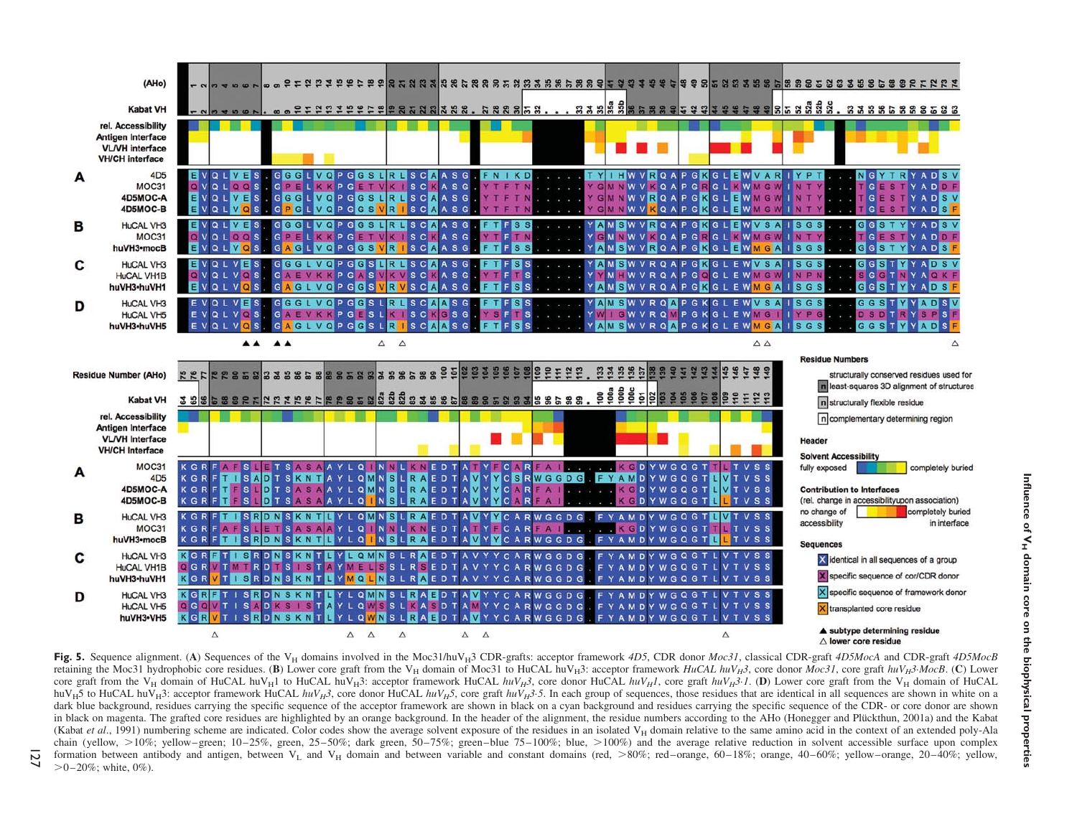



 $\overline{M}$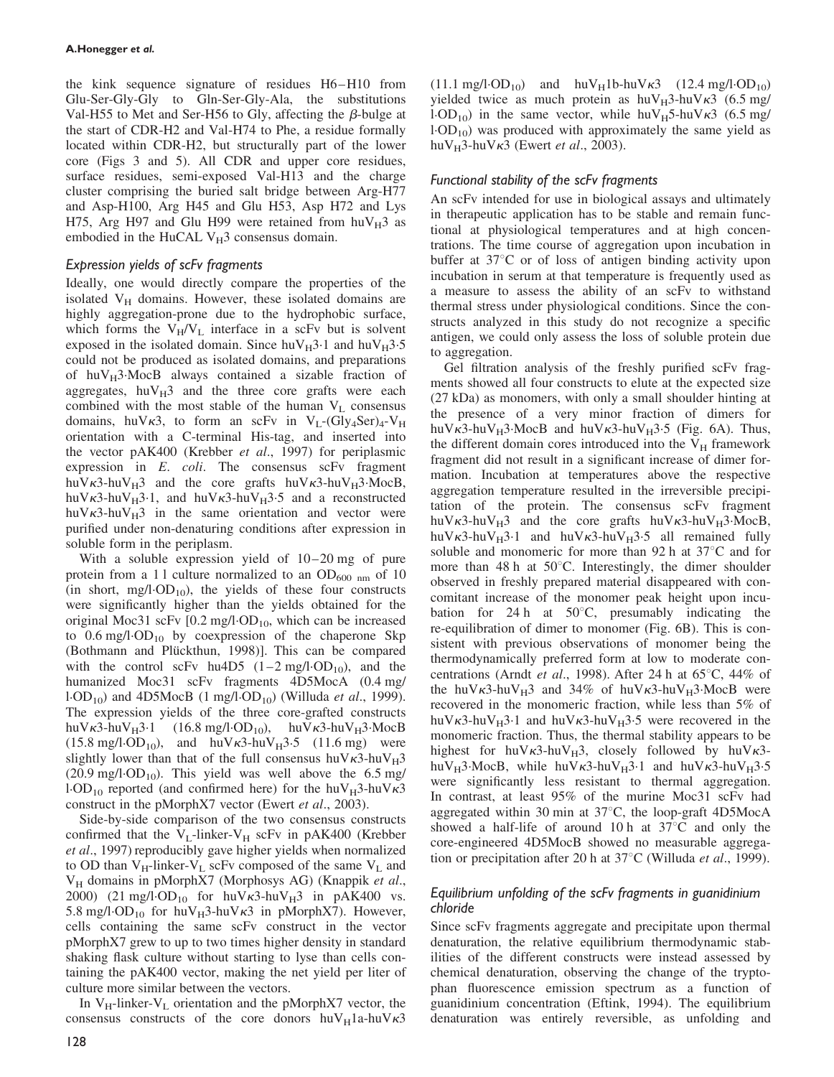the kink sequence signature of residues H6–H10 from Glu-Ser-Gly-Gly to Gln-Ser-Gly-Ala, the substitutions Val-H55 to Met and Ser-H56 to Gly, affecting the  $\beta$ -bulge at the start of CDR-H2 and Val-H74 to Phe, a residue formally located within CDR-H2, but structurally part of the lower core (Figs 3 and 5). All CDR and upper core residues, surface residues, semi-exposed Val-H13 and the charge cluster comprising the buried salt bridge between Arg-H77 and Asp-H100, Arg H45 and Glu H53, Asp H72 and Lys H75, Arg H97 and Glu H99 were retained from  $huv_H3$  as embodied in the HuCAL  $V_H$ 3 consensus domain.

# Expression yields of scFv fragments

Ideally, one would directly compare the properties of the isolated  $V_H$  domains. However, these isolated domains are highly aggregation-prone due to the hydrophobic surface, which forms the  $V_H/V_L$  interface in a scFv but is solvent exposed in the isolated domain. Since huV $_{\text{H}}3.1$  and huV $_{\text{H}}3.5$ could not be produced as isolated domains, and preparations of  $huv_H3 \cdot MocB$  always contained a sizable fraction of aggregates,  $h u V_H$ 3 and the three core grafts were each combined with the most stable of the human  $V<sub>L</sub>$  consensus domains, huV $\kappa$ 3, to form an scFv in V<sub>L</sub>-(Gly<sub>4</sub>Ser)<sub>4</sub>-V<sub>H</sub> orientation with a C-terminal His-tag, and inserted into the vector pAK400 (Krebber et al., 1997) for periplasmic expression in E. coli. The consensus scFv fragment huV $\kappa$ 3-huV $_H$ 3 and the core grafts huV $\kappa$ 3-huV $_H$ 3·MocB, huV $\kappa$ 3-huV<sub>H</sub>3.1, and huV $\kappa$ 3-huV<sub>H</sub>3.5 and a reconstructed huV $\kappa$ 3-huV $_H$ 3 in the same orientation and vector were purified under non-denaturing conditions after expression in soluble form in the periplasm.

With a soluble expression yield of  $10-20$  mg of pure protein from a 11 culture normalized to an  $OD_{600 \text{ nm}}$  of 10 (in short, mg/l $\cdot$ OD<sub>10</sub>), the yields of these four constructs were significantly higher than the yields obtained for the original Moc31 scFv  $[0.2 \text{ mg/l} \cdot \text{OD}_{10}$ , which can be increased to  $0.6 \text{ mg}/1 \cdot \text{OD}_{10}$  by coexpression of the chaperone Skp (Bothmann and Plückthun, 1998)]. This can be compared with the control scFv hu4D5  $(1-2 \text{ mg/l} \cdot \text{OD}_{10})$ , and the humanized Moc31 scFv fragments 4D5MocA (0.4 mg/ l.OD<sub>10</sub>) and 4D5MocB (1 mg/l.OD<sub>10</sub>) (Willuda et al., 1999). The expression yields of the three core-grafted constructs huV $\kappa$ 3-huV $_H$ 3-1 (16.8 mg/l·OD<sub>10</sub>), huV $\kappa$ 3-huV $_H$ 3·MocB  $(15.8 \text{ mg/l} \cdot \text{OD}_{10})$ , and huV $\kappa$ 3-huV $_{\text{H}}$ 3-5 (11.6 mg) were slightly lower than that of the full consensus huV $\kappa$ 3-huV $_H$ 3  $(20.9 \text{ mg/l} \cdot \text{OD}_{10})$ . This yield was well above the 6.5 mg/ l.OD<sub>10</sub> reported (and confirmed here) for the huV $_H$ 3-huV $\kappa$ 3 construct in the pMorphX7 vector (Ewert et al., 2003).

Side-by-side comparison of the two consensus constructs confirmed that the  $V_L$ -linker- $V_H$  scFv in pAK400 (Krebber et al., 1997) reproducibly gave higher yields when normalized to OD than  $V_H$ -linker- $V_L$  scFv composed of the same  $V_L$  and V<sub>H</sub> domains in pMorphX7 (Morphosys AG) (Knappik et al., 2000) (21 mg/l $\cdot$ OD<sub>10</sub> for huV $\kappa$ 3-huV $_H$ 3 in pAK400 vs. 5.8 mg/l $\cdot$ OD<sub>10</sub> for huV<sub>H</sub>3-huV $\kappa$ 3 in pMorphX7). However, cells containing the same scFv construct in the vector pMorphX7 grew to up to two times higher density in standard shaking flask culture without starting to lyse than cells containing the pAK400 vector, making the net yield per liter of culture more similar between the vectors.

In  $V_H$ -linker- $V_L$  orientation and the pMorphX7 vector, the consensus constructs of the core donors  $huV_H1a-huV_K3$   $(11.1 \text{ mg/l} \cdot \text{OD}_{10})$  and  $\text{huV}_{\text{H}}1\text{b-huV}_{\text{K}}3$   $(12.4 \text{ mg/l} \cdot \text{OD}_{10})$ yielded twice as much protein as  $huv_H3-huv\kappa3$  (6.5 mg/ l.OD<sub>10</sub>) in the same vector, while huV<sub>H</sub>5-huV $\kappa$ 3 (6.5 mg/  $1-OD_{10}$ ) was produced with approximately the same yield as huV $_H$ 3-huV $\kappa$ 3 (Ewert *et al.*, 2003).

# Functional stability of the scFv fragments

An scFv intended for use in biological assays and ultimately in therapeutic application has to be stable and remain functional at physiological temperatures and at high concentrations. The time course of aggregation upon incubation in buffer at  $37^{\circ}$ C or of loss of antigen binding activity upon incubation in serum at that temperature is frequently used as a measure to assess the ability of an scFv to withstand thermal stress under physiological conditions. Since the constructs analyzed in this study do not recognize a specific antigen, we could only assess the loss of soluble protein due to aggregation.

Gel filtration analysis of the freshly purified scFv fragments showed all four constructs to elute at the expected size (27 kDa) as monomers, with only a small shoulder hinting at the presence of a very minor fraction of dimers for huV $\kappa$ 3-huV<sub>H</sub>3·MocB and huV $\kappa$ 3-huV<sub>H</sub>3·5 (Fig. 6A). Thus, the different domain cores introduced into the  $V_H$  framework fragment did not result in a significant increase of dimer formation. Incubation at temperatures above the respective aggregation temperature resulted in the irreversible precipitation of the protein. The consensus scFv fragment huV $\kappa$ 3-huV<sub>H</sub>3 and the core grafts huV $\kappa$ 3-huV<sub>H</sub>3·MocB, huV $\kappa$ 3-huV<sub>H</sub>3.1 and huV $\kappa$ 3-huV<sub>H</sub>3.5 all remained fully soluble and monomeric for more than 92 h at  $37^{\circ}$ C and for more than 48 h at  $50^{\circ}$ C. Interestingly, the dimer shoulder observed in freshly prepared material disappeared with concomitant increase of the monomer peak height upon incubation for 24 h at  $50^{\circ}$ C, presumably indicating the re-equilibration of dimer to monomer (Fig. 6B). This is consistent with previous observations of monomer being the thermodynamically preferred form at low to moderate concentrations (Arndt et al., 1998). After 24 h at  $65^{\circ}$ C, 44% of the huV $\kappa$ 3-huV $_H$ 3 and 34% of huV $\kappa$ 3-huV $_H$ 3·MocB were recovered in the monomeric fraction, while less than 5% of huV $\kappa$ 3-huV<sub>H</sub>3.1 and huV $\kappa$ 3-huV<sub>H</sub>3.5 were recovered in the monomeric fraction. Thus, the thermal stability appears to be highest for huV $\kappa$ 3-huV $_H$ 3, closely followed by huV $\kappa$ 3huV<sub>H</sub>3.MocB, while huV $\kappa$ 3-huV<sub>H</sub>3.1 and huV $\kappa$ 3-huV<sub>H</sub>3.5 were significantly less resistant to thermal aggregation. In contrast, at least 95% of the murine Moc31 scFv had aggregated within 30 min at  $37^{\circ}$ C, the loop-graft 4D5MocA showed a half-life of around 10 h at  $37^{\circ}$ C and only the core-engineered 4D5MocB showed no measurable aggregation or precipitation after 20 h at  $37^{\circ}$ C (Willuda *et al.*, 1999).

# Equilibrium unfolding of the scFv fragments in guanidinium chloride

Since scFv fragments aggregate and precipitate upon thermal denaturation, the relative equilibrium thermodynamic stabilities of the different constructs were instead assessed by chemical denaturation, observing the change of the tryptophan fluorescence emission spectrum as a function of guanidinium concentration (Eftink, 1994). The equilibrium denaturation was entirely reversible, as unfolding and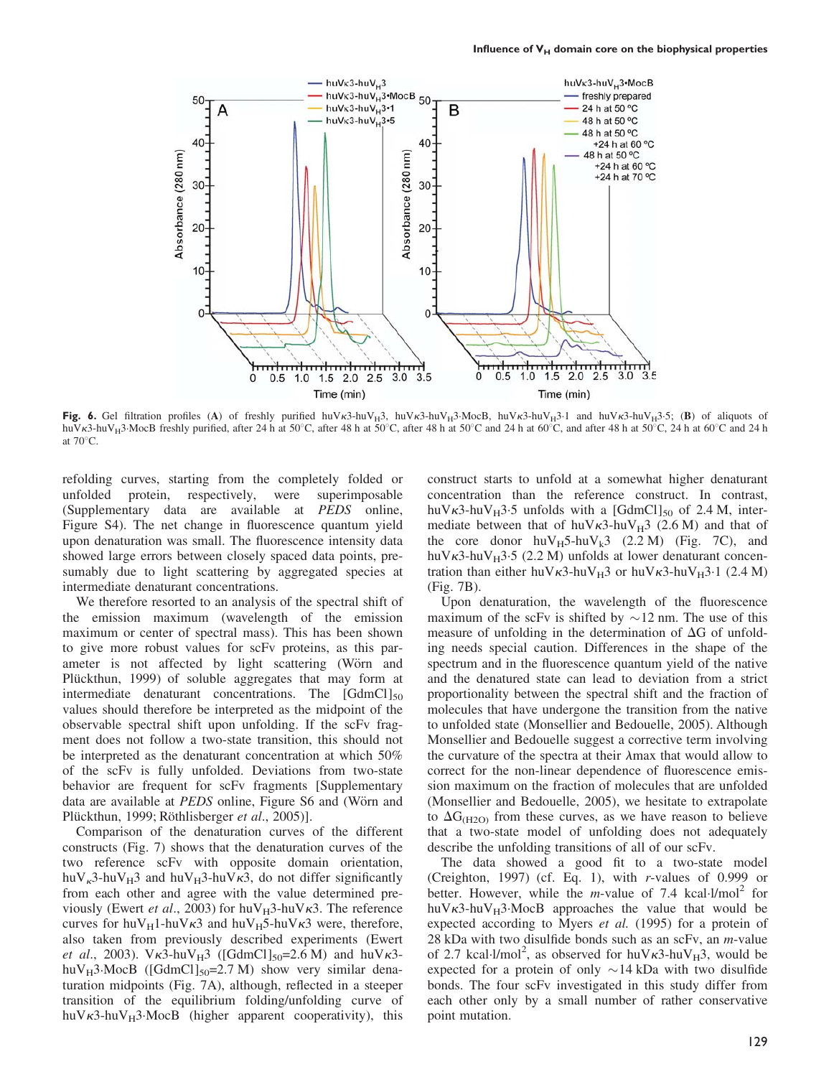

Fig. 6. Gel filtration profiles (A) of freshly purified huVk3-huV $_{H}3$ , huVk3-huV $_{H}3$ -MocB, huVk3-huV $_{H}3$ -1 and huVk3-huV $_{H}3$ -5; (B) of aliquots of huV<sub>K3</sub>-huV<sub>H</sub>3 MocB freshly purified, after 24 h at 50°C, after 48 h at 50°C, after 48 h at 50°C, and after 48 h at 50°C, 24 h at 60°C and 24 h at  $70^{\circ}$ C.

refolding curves, starting from the completely folded or unfolded protein, respectively, were superimposable (Supplementary data are available at PEDS online, Figure S4). The net change in fluorescence quantum yield upon denaturation was small. The fluorescence intensity data showed large errors between closely spaced data points, presumably due to light scattering by aggregated species at intermediate denaturant concentrations.

We therefore resorted to an analysis of the spectral shift of the emission maximum (wavelength of the emission maximum or center of spectral mass). This has been shown to give more robust values for scFv proteins, as this parameter is not affected by light scattering (Wörn and Plückthun, 1999) of soluble aggregates that may form at intermediate denaturant concentrations. The  $\lbrack \text{GdmCl} \rbrack_{50}$ values should therefore be interpreted as the midpoint of the observable spectral shift upon unfolding. If the scFv fragment does not follow a two-state transition, this should not be interpreted as the denaturant concentration at which 50% of the scFv is fully unfolded. Deviations from two-state behavior are frequent for scFv fragments [Supplementary data are available at PEDS online, Figure S6 and (Wörn and Plückthun, 1999; Röthlisberger et al., 2005)].

Comparison of the denaturation curves of the different constructs (Fig. 7) shows that the denaturation curves of the two reference scFv with opposite domain orientation, huV<sub>k</sub>3-huV<sub>H</sub>3 and huV<sub>H</sub>3-huV $\kappa$ 3, do not differ significantly from each other and agree with the value determined previously (Ewert et al., 2003) for  $huv_H3-huv\kappa3$ . The reference curves for huV $_H$ 1-huV $\kappa$ 3 and huV $_H$ 5-huV $\kappa$ 3 were, therefore, also taken from previously described experiments (Ewert et al., 2003).  $V_{\kappa}$ 3-huV<sub>H</sub>3 ([GdmCl]<sub>50</sub>=2.6 M) and huV $\kappa$ 3huV $_H$ 3·MocB ([GdmCl]<sub>50</sub>=2.7 M) show very similar denaturation midpoints (Fig. 7A), although, reflected in a steeper transition of the equilibrium folding/unfolding curve of huV $\kappa$ 3-huV $_H$ 3·MocB (higher apparent cooperativity), this

construct starts to unfold at a somewhat higher denaturant concentration than the reference construct. In contrast, huV $\kappa$ 3-huV<sub>H</sub>3.5 unfolds with a [GdmCl]<sub>50</sub> of 2.4 M, intermediate between that of huV $\kappa$ 3-huV $_H$ 3 (2.6 M) and that of the core donor  $huV_H5-huV_k3$  (2.2 M) (Fig. 7C), and huV $\kappa$ 3-huV $_H$ 3-5 (2.2 M) unfolds at lower denaturant concentration than either huV $\kappa$ 3-huV $_H$ 3 or huV $\kappa$ 3-huV $_H$ 3·1 (2.4 M) (Fig. 7B).

Upon denaturation, the wavelength of the fluorescence maximum of the scFv is shifted by  $\sim$ 12 nm. The use of this measure of unfolding in the determination of  $\Delta G$  of unfolding needs special caution. Differences in the shape of the spectrum and in the fluorescence quantum yield of the native and the denatured state can lead to deviation from a strict proportionality between the spectral shift and the fraction of molecules that have undergone the transition from the native to unfolded state (Monsellier and Bedouelle, 2005). Although Monsellier and Bedouelle suggest a corrective term involving the curvature of the spectra at their  $\lambda$ max that would allow to correct for the non-linear dependence of fluorescence emission maximum on the fraction of molecules that are unfolded (Monsellier and Bedouelle, 2005), we hesitate to extrapolate to  $\Delta G_{(H2O)}$  from these curves, as we have reason to believe that a two-state model of unfolding does not adequately describe the unfolding transitions of all of our scFv.

The data showed a good fit to a two-state model (Creighton, 1997) (cf. Eq. 1), with r-values of 0.999 or better. However, while the *m*-value of 7.4 kcal. $1/mol<sup>2</sup>$  for huV $\kappa$ 3-huV $_H$ 3·MocB approaches the value that would be expected according to Myers et al. (1995) for a protein of 28 kDa with two disulfide bonds such as an scFv, an  $m$ -value of 2.7 kcal.l/mol<sup>2</sup>, as observed for huV $\kappa$ 3-huV $_{\rm H}$ 3, would be expected for a protein of only  $\sim$  14 kDa with two disulfide bonds. The four scFv investigated in this study differ from each other only by a small number of rather conservative point mutation.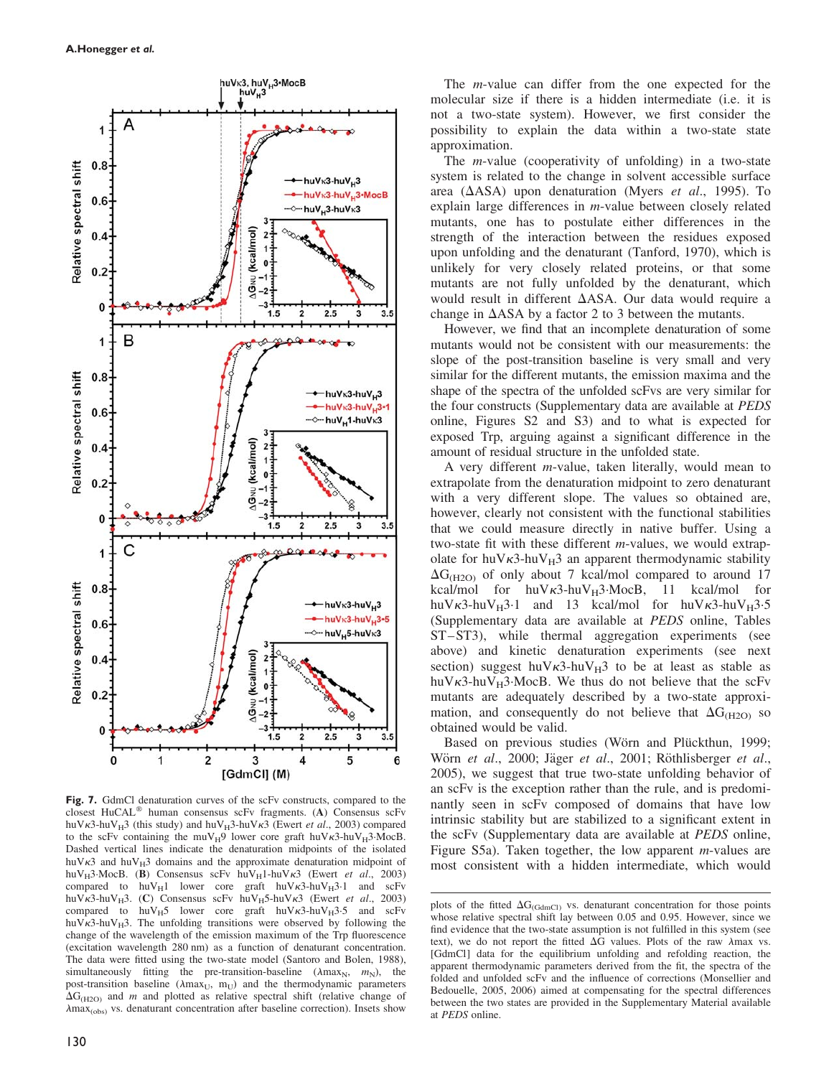

Fig. 7. GdmCl denaturation curves of the scFv constructs, compared to the closest HuCAL<sup>®</sup> human consensus scFv fragments. (A) Consensus scFv huV $\kappa$ 3-huV<sub>H</sub>3 (this study) and huV<sub>H</sub>3-huV $\kappa$ 3 (Ewert *et al.*, 2003) compared to the scFv containing the muV<sub>H</sub>9 lower core graft huV $\kappa$ 3-huV<sub>H</sub>3-MocB. Dashed vertical lines indicate the denaturation midpoints of the isolated huV $\kappa$ 3 and huV $_H$ 3 domains and the approximate denaturation midpoint of huV<sub>H</sub>3·MocB. (B) Consensus scFv huV<sub>H</sub>1-huV $\kappa$ 3 (Ewert et al., 2003) compared to huV<sub>H</sub>1 lower core graft huV $\kappa$ 3-huV<sub>H</sub>3-1 and scFv huV $\kappa$ 3-huV<sub>H</sub>3. (C) Consensus scFv huV<sub>H</sub>5-huV $\kappa$ 3 (Ewert et al., 2003) compared to  $h u V_H5$  lower core graft  $h u V_K3-h u V_H3.5$  and scFv huV $\kappa$ 3-huV<sub>H</sub>3. The unfolding transitions were observed by following the change of the wavelength of the emission maximum of the Trp fluorescence (excitation wavelength 280 nm) as a function of denaturant concentration. The data were fitted using the two-state model (Santoro and Bolen, 1988), simultaneously fitting the pre-transition-baseline ( $\lambda$ max<sub>N</sub>,  $m_N$ ), the post-transition baseline ( $\lambda$ max<sub>U</sub>, m<sub>U</sub>) and the thermodynamic parameters  $\Delta G_{(H2O)}$  and m and plotted as relative spectral shift (relative change of  $\lambda$ max<sub>(obs)</sub> vs. denaturant concentration after baseline correction). Insets show

The m-value can differ from the one expected for the molecular size if there is a hidden intermediate (i.e. it is not a two-state system). However, we first consider the possibility to explain the data within a two-state state approximation.

The m-value (cooperativity of unfolding) in a two-state system is related to the change in solvent accessible surface area ( $\triangle$ ASA) upon denaturation (Myers et al., 1995). To explain large differences in m-value between closely related mutants, one has to postulate either differences in the strength of the interaction between the residues exposed upon unfolding and the denaturant (Tanford, 1970), which is unlikely for very closely related proteins, or that some mutants are not fully unfolded by the denaturant, which would result in different  $\Delta$ ASA. Our data would require a change in  $\Delta$ ASA by a factor 2 to 3 between the mutants.

However, we find that an incomplete denaturation of some mutants would not be consistent with our measurements: the slope of the post-transition baseline is very small and very similar for the different mutants, the emission maxima and the shape of the spectra of the unfolded scFvs are very similar for the four constructs (Supplementary data are available at PEDS online, Figures S2 and S3) and to what is expected for exposed Trp, arguing against a significant difference in the amount of residual structure in the unfolded state.

A very different m-value, taken literally, would mean to extrapolate from the denaturation midpoint to zero denaturant with a very different slope. The values so obtained are, however, clearly not consistent with the functional stabilities that we could measure directly in native buffer. Using a two-state fit with these different m-values, we would extrapolate for huV $\kappa$ 3-huV $_H$ 3 an apparent thermodynamic stability  $\Delta G_{(H2O)}$  of only about 7 kcal/mol compared to around 17 kcal/mol for  $huV_{H}3 \cdot MocB$ , 11 kcal/mol for huV $\kappa$ 3-huV<sub>H</sub>3.1 and 13 kcal/mol for huV $\kappa$ 3-huV<sub>H</sub>3.5 (Supplementary data are available at PEDS online, Tables ST–ST3), while thermal aggregation experiments (see above) and kinetic denaturation experiments (see next section) suggest huV $\kappa$ 3-huV $_H$ 3 to be at least as stable as huV $\kappa$ 3-huV<sub>H</sub>3.MocB. We thus do not believe that the scFv mutants are adequately described by a two-state approximation, and consequently do not believe that  $\Delta G_{(H2O)}$  so obtained would be valid.

Based on previous studies (Wörn and Plückthun, 1999; Wörn et al., 2000; Jäger et al., 2001; Röthlisberger et al., 2005), we suggest that true two-state unfolding behavior of an scFv is the exception rather than the rule, and is predominantly seen in scFv composed of domains that have low intrinsic stability but are stabilized to a significant extent in the scFv (Supplementary data are available at PEDS online, Figure S5a). Taken together, the low apparent m-values are most consistent with a hidden intermediate, which would

plots of the fitted  $\Delta G_{(GdmCl)}$  vs. denaturant concentration for those points whose relative spectral shift lay between 0.05 and 0.95. However, since we find evidence that the two-state assumption is not fulfilled in this system (see text), we do not report the fitted  $\Delta G$  values. Plots of the raw  $\lambda$ max vs. [GdmCl] data for the equilibrium unfolding and refolding reaction, the apparent thermodynamic parameters derived from the fit, the spectra of the folded and unfolded scFv and the influence of corrections (Monsellier and Bedouelle, 2005, 2006) aimed at compensating for the spectral differences between the two states are provided in the Supplementary Material available at PEDS online.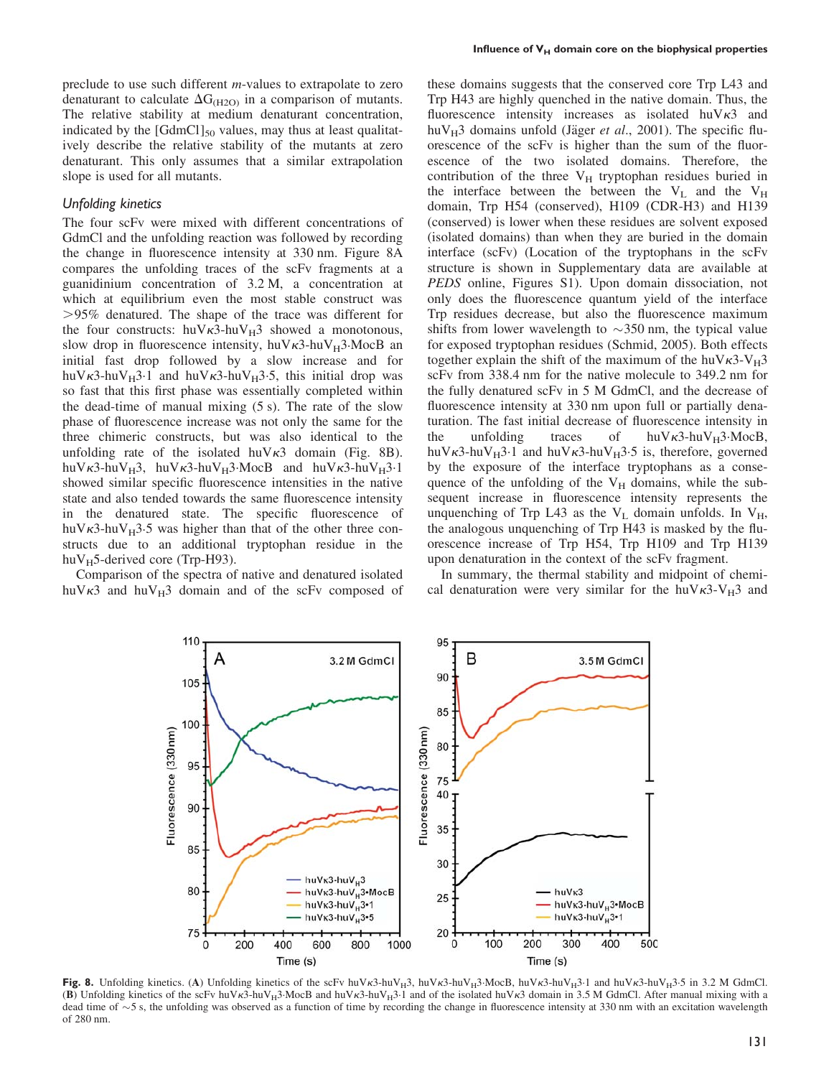preclude to use such different m-values to extrapolate to zero denaturant to calculate  $\Delta G_{(H2O)}$  in a comparison of mutants. The relative stability at medium denaturant concentration, indicated by the  $[GdmCl]_{50}$  values, may thus at least qualitatively describe the relative stability of the mutants at zero denaturant. This only assumes that a similar extrapolation slope is used for all mutants.

## Unfolding kinetics

The four scFv were mixed with different concentrations of GdmCl and the unfolding reaction was followed by recording the change in fluorescence intensity at 330 nm. Figure 8A compares the unfolding traces of the scFv fragments at a guanidinium concentration of 3.2 M, a concentration at which at equilibrium even the most stable construct was .95% denatured. The shape of the trace was different for the four constructs:  $huV_{K3}$ -hu $V_{H3}$  showed a monotonous, slow drop in fluorescence intensity, huV $\kappa$ 3-huV $_H$ 3·MocB an initial fast drop followed by a slow increase and for huV $\kappa$ 3-huV $_H$ 3.1 and huV $\kappa$ 3-huV $_H$ 3.5, this initial drop was so fast that this first phase was essentially completed within the dead-time of manual mixing (5 s). The rate of the slow phase of fluorescence increase was not only the same for the three chimeric constructs, but was also identical to the unfolding rate of the isolated  $h\nu\kappa3$  domain (Fig. 8B). huV $\kappa$ 3-huV<sub>H</sub>3, huV $\kappa$ 3-huV<sub>H</sub>3·MocB and huV $\kappa$ 3-huV<sub>H</sub>3·1 showed similar specific fluorescence intensities in the native state and also tended towards the same fluorescence intensity in the denatured state. The specific fluorescence of huV $\kappa$ 3-huV $_H$ 3.5 was higher than that of the other three constructs due to an additional tryptophan residue in the huV $_{\text{H}}$ 5-derived core (Trp-H93).

Comparison of the spectra of native and denatured isolated huV $\kappa$ 3 and huV $_{\rm H}$ 3 domain and of the scFv composed of these domains suggests that the conserved core Trp L43 and Trp H43 are highly quenched in the native domain. Thus, the fluorescence intensity increases as isolated  $huV\kappa3$  and huV $_{\rm H}$ 3 domains unfold (Jäger *et al.*, 2001). The specific fluorescence of the scFv is higher than the sum of the fluorescence of the two isolated domains. Therefore, the contribution of the three  $V_H$  tryptophan residues buried in the interface between the between the  $V_L$  and the  $V_H$ domain, Trp H54 (conserved), H109 (CDR-H3) and H139 (conserved) is lower when these residues are solvent exposed (isolated domains) than when they are buried in the domain interface (scFv) (Location of the tryptophans in the scFv structure is shown in Supplementary data are available at PEDS online, Figures S1). Upon domain dissociation, not only does the fluorescence quantum yield of the interface Trp residues decrease, but also the fluorescence maximum shifts from lower wavelength to  $\sim$ 350 nm, the typical value for exposed tryptophan residues (Schmid, 2005). Both effects together explain the shift of the maximum of the huV $\kappa$ 3-V<sub>H</sub>3 scFv from 338.4 nm for the native molecule to 349.2 nm for the fully denatured scFv in 5 M GdmCl, and the decrease of fluorescence intensity at 330 nm upon full or partially denaturation. The fast initial decrease of fluorescence intensity in the unfolding traces of  $huV_{\kappa}3\text{-}huV_{\text{H}}3\text{-}MocB$ , huV $\kappa$ 3-huV<sub>H</sub>3.1 and huV $\kappa$ 3-huV<sub>H</sub>3.5 is, therefore, governed by the exposure of the interface tryptophans as a consequence of the unfolding of the  $V_H$  domains, while the subsequent increase in fluorescence intensity represents the unquenching of Trp L43 as the  $V_L$  domain unfolds. In  $V_H$ , the analogous unquenching of Trp H43 is masked by the fluorescence increase of Trp H54, Trp H109 and Trp H139 upon denaturation in the context of the scFv fragment.

In summary, the thermal stability and midpoint of chemical denaturation were very similar for the huV $\kappa$ 3-V<sub>H</sub>3 and



Fig. 8. Unfolding kinetics. (A) Unfolding kinetics of the scFv huVk3-huV<sub>H3</sub>, huVk3-huV<sub>H3</sub>.MocB, huVk3-huV<sub>H3</sub>.1 and huVk3-huV<sub>H3</sub>.5 in 3.2 M GdmCl. (B) Unfolding kinetics of the scFv huV $\kappa$ 3-huV<sub>H</sub>3·MocB and huV $\kappa$ 3-huV<sub>H</sub>3·1 and of the isolated huV $\kappa$ 3 domain in 3.5 M GdmCl. After manual mixing with a dead time of  $\sim$ 5 s, the unfolding was observed as a function of time by recording the change in fluorescence intensity at 330 nm with an excitation wavelength of 280 nm.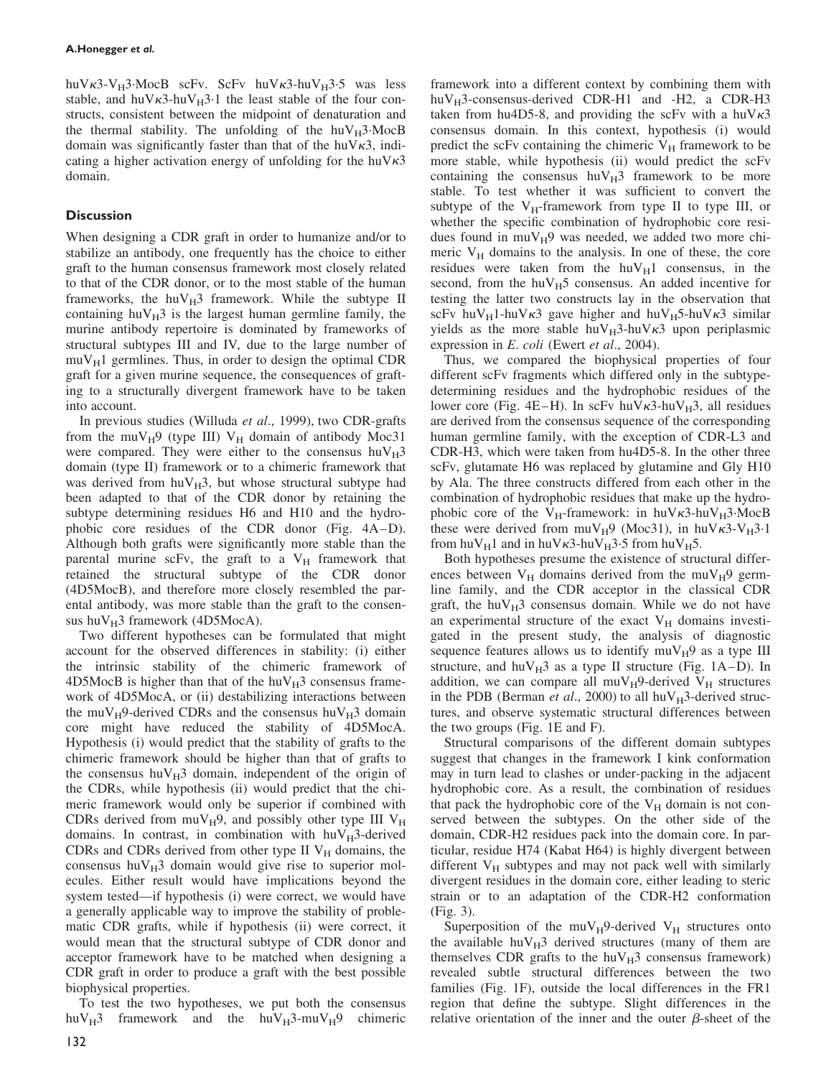huV $\kappa$ 3-V<sub>H</sub>3.MocB scFv. ScFv huV $\kappa$ 3-huV<sub>H</sub>3-5 was less stable, and huV $\kappa$ 3-huV $_H$ 3.1 the least stable of the four constructs, consistent between the midpoint of denaturation and the thermal stability. The unfolding of the  $h\nu_{\rm H}$ 3. MocB domain was significantly faster than that of the huV $\kappa$ 3, indicating a higher activation energy of unfolding for the huV $\kappa$ 3 domain.

# **Discussion**

When designing a CDR graft in order to humanize and/or to stabilize an antibody, one frequently has the choice to either graft to the human consensus framework most closely related to that of the CDR donor, or to the most stable of the human frameworks, the huV $_{\rm H}$ 3 framework. While the subtype II containing hu $V_H$ 3 is the largest human germline family, the murine antibody repertoire is dominated by frameworks of structural subtypes III and IV, due to the large number of  $muV_H1$  germlines. Thus, in order to design the optimal CDR graft for a given murine sequence, the consequences of grafting to a structurally divergent framework have to be taken into account.

In previous studies (Willuda et al., 1999), two CDR-grafts from the muV $_H$ 9 (type III) V<sub>H</sub> domain of antibody Moc31 were compared. They were either to the consensus  $huv_H3$ domain (type II) framework or to a chimeric framework that was derived from  $huV_H3$ , but whose structural subtype had been adapted to that of the CDR donor by retaining the subtype determining residues H6 and H10 and the hydrophobic core residues of the CDR donor (Fig. 4A–D). Although both grafts were significantly more stable than the parental murine scFv, the graft to a  $V_H$  framework that retained the structural subtype of the CDR donor (4D5MocB), and therefore more closely resembled the parental antibody, was more stable than the graft to the consensus hu $V_H$ 3 framework (4D5MocA).

Two different hypotheses can be formulated that might account for the observed differences in stability: (i) either the intrinsic stability of the chimeric framework of 4D5MocB is higher than that of the  $huv_H3$  consensus framework of 4D5MocA, or (ii) destabilizing interactions between the muV<sub>H</sub>9-derived CDRs and the consensus huV<sub>H</sub>3 domain core might have reduced the stability of 4D5MocA. Hypothesis (i) would predict that the stability of grafts to the chimeric framework should be higher than that of grafts to the consensus huV $_{\rm H}$ 3 domain, independent of the origin of the CDRs, while hypothesis (ii) would predict that the chimeric framework would only be superior if combined with CDRs derived from  $muV_H9$ , and possibly other type III  $V_H$ domains. In contrast, in combination with  $huv_H3$ -derived CDRs and CDRs derived from other type II  $V_H$  domains, the consensus huV $_{\rm H}$ 3 domain would give rise to superior molecules. Either result would have implications beyond the system tested—if hypothesis (i) were correct, we would have a generally applicable way to improve the stability of problematic CDR grafts, while if hypothesis (ii) were correct, it would mean that the structural subtype of CDR donor and acceptor framework have to be matched when designing a CDR graft in order to produce a graft with the best possible biophysical properties.

To test the two hypotheses, we put both the consensus huV<sub>H</sub>3 framework and the huV<sub>H</sub>3-muV<sub>H</sub>9 chimeric framework into a different context by combining them with huV $_{\rm H}$ 3-consensus-derived CDR-H1 and -H2, a CDR-H3 taken from hu4D5-8, and providing the scFv with a huV $\kappa$ 3 consensus domain. In this context, hypothesis (i) would predict the scFv containing the chimeric  $V_H$  framework to be more stable, while hypothesis (ii) would predict the scFv containing the consensus  $huV_H3$  framework to be more stable. To test whether it was sufficient to convert the subtype of the  $V_H$ -framework from type II to type III, or whether the specific combination of hydrophobic core residues found in  $muV_H9$  was needed, we added two more chimeric  $V_H$  domains to the analysis. In one of these, the core residues were taken from the  $huv_H1$  consensus, in the second, from the huV $_{H}5$  consensus. An added incentive for testing the latter two constructs lay in the observation that scFv huV<sub>H</sub>1-huV $\kappa$ 3 gave higher and huV<sub>H</sub>5-huV $\kappa$ 3 similar yields as the more stable huV<sub>H</sub>3-huV $\kappa$ 3 upon periplasmic expression in E. coli (Ewert et al., 2004).

Thus, we compared the biophysical properties of four different scFv fragments which differed only in the subtypedetermining residues and the hydrophobic residues of the lower core (Fig. 4E–H). In scFv huV $\kappa$ 3-huV $_H$ 3, all residues are derived from the consensus sequence of the corresponding human germline family, with the exception of CDR-L3 and CDR-H3, which were taken from hu4D5-8. In the other three scFv, glutamate H6 was replaced by glutamine and Gly H10 by Ala. The three constructs differed from each other in the combination of hydrophobic residues that make up the hydrophobic core of the V<sub>H</sub>-framework: in huV $\kappa$ 3-huV<sub>H</sub>3.MocB these were derived from  $muV_H9$  (Moc31), in  $huV_K3-V_H3.1$ from huV<sub>H</sub>1 and in huV $\kappa$ 3-huV<sub>H</sub>3.5 from huV<sub>H</sub>5.

Both hypotheses presume the existence of structural differences between  $V_H$  domains derived from the mu $V_H$ 9 germline family, and the CDR acceptor in the classical CDR graft, the hu $V_H$ 3 consensus domain. While we do not have an experimental structure of the exact  $V_H$  domains investigated in the present study, the analysis of diagnostic sequence features allows us to identify  $muV_H9$  as a type III structure, and huV $_{H}$ 3 as a type II structure (Fig. 1A–D). In addition, we can compare all  $muV_H9$ -derived  $V_H$  structures in the PDB (Berman et al., 2000) to all huV $_H$ 3-derived structures, and observe systematic structural differences between the two groups (Fig. 1E and F).

Structural comparisons of the different domain subtypes suggest that changes in the framework I kink conformation may in turn lead to clashes or under-packing in the adjacent hydrophobic core. As a result, the combination of residues that pack the hydrophobic core of the  $V_H$  domain is not conserved between the subtypes. On the other side of the domain, CDR-H2 residues pack into the domain core. In particular, residue H74 (Kabat H64) is highly divergent between different  $V_H$  subtypes and may not pack well with similarly divergent residues in the domain core, either leading to steric strain or to an adaptation of the CDR-H2 conformation (Fig. 3).

Superposition of the  $muV_H9$ -derived  $V_H$  structures onto the available huV $_{\rm H}$ 3 derived structures (many of them are themselves CDR grafts to the  $huv_H3$  consensus framework) revealed subtle structural differences between the two families (Fig. 1F), outside the local differences in the FR1 region that define the subtype. Slight differences in the relative orientation of the inner and the outer  $\beta$ -sheet of the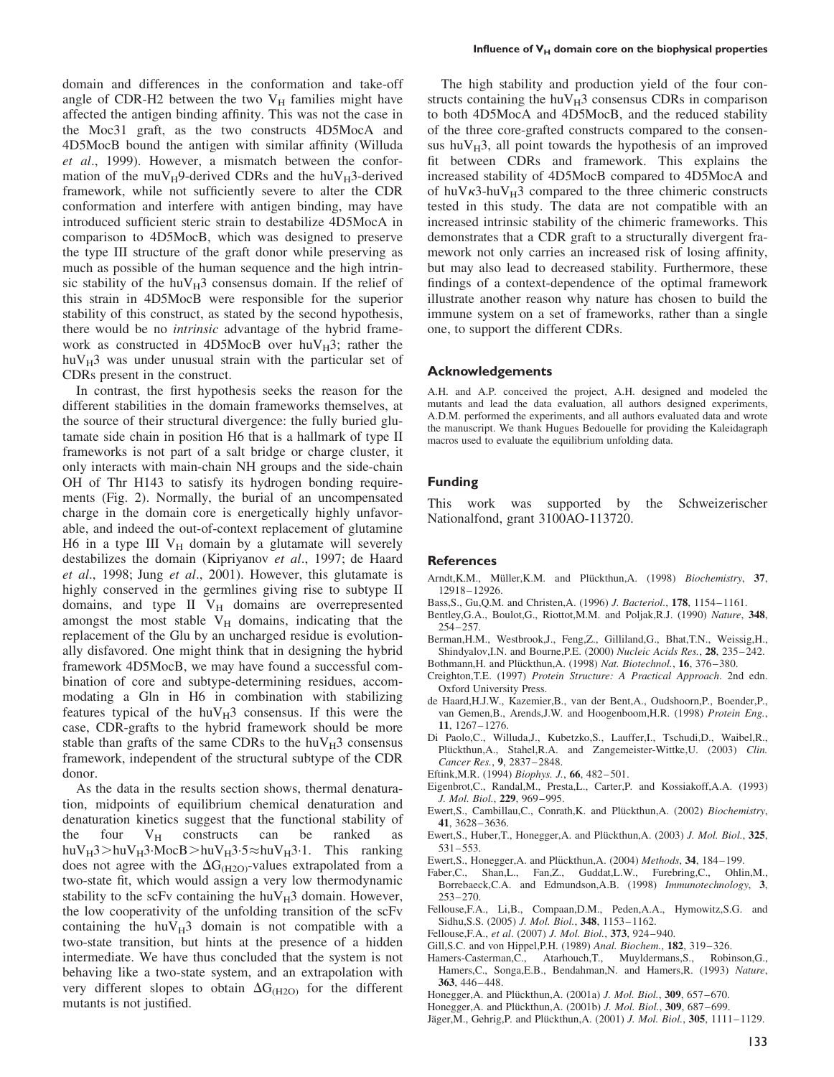domain and differences in the conformation and take-off angle of CDR-H2 between the two  $V_H$  families might have affected the antigen binding affinity. This was not the case in the Moc31 graft, as the two constructs 4D5MocA and 4D5MocB bound the antigen with similar affinity (Willuda et al., 1999). However, a mismatch between the conformation of the muV $_H$ 9-derived CDRs and the huV $_H$ 3-derived framework, while not sufficiently severe to alter the CDR conformation and interfere with antigen binding, may have introduced sufficient steric strain to destabilize 4D5MocA in comparison to 4D5MocB, which was designed to preserve the type III structure of the graft donor while preserving as much as possible of the human sequence and the high intrinsic stability of the huV $_{\rm H}$ 3 consensus domain. If the relief of this strain in 4D5MocB were responsible for the superior stability of this construct, as stated by the second hypothesis, there would be no intrinsic advantage of the hybrid framework as constructed in 4D5MocB over  $huv_H3$ ; rather the hu $V_H$ 3 was under unusual strain with the particular set of CDRs present in the construct.

In contrast, the first hypothesis seeks the reason for the different stabilities in the domain frameworks themselves, at the source of their structural divergence: the fully buried glutamate side chain in position H6 that is a hallmark of type II frameworks is not part of a salt bridge or charge cluster, it only interacts with main-chain NH groups and the side-chain OH of Thr H143 to satisfy its hydrogen bonding requirements (Fig. 2). Normally, the burial of an uncompensated charge in the domain core is energetically highly unfavorable, and indeed the out-of-context replacement of glutamine H6 in a type III  $V_H$  domain by a glutamate will severely destabilizes the domain (Kipriyanov et al., 1997; de Haard et al., 1998; Jung et al., 2001). However, this glutamate is highly conserved in the germlines giving rise to subtype II domains, and type II  $V_H$  domains are overrepresented amongst the most stable  $V_H$  domains, indicating that the replacement of the Glu by an uncharged residue is evolutionally disfavored. One might think that in designing the hybrid framework 4D5MocB, we may have found a successful combination of core and subtype-determining residues, accommodating a Gln in H6 in combination with stabilizing features typical of the  $huv_H3$  consensus. If this were the case, CDR-grafts to the hybrid framework should be more stable than grafts of the same CDRs to the  $huv_H3$  consensus framework, independent of the structural subtype of the CDR donor.

As the data in the results section shows, thermal denaturation, midpoints of equilibrium chemical denaturation and denaturation kinetics suggest that the functional stability of the four  $V_H$  constructs can be ranked as huV $_H$ 3>huV $_H$ 3·MocB>huV $_H$ 3·5 $\approx$ huV $_H$ 3·1. This ranking does not agree with the  $\Delta G_{(H2O)}$ -values extrapolated from a two-state fit, which would assign a very low thermodynamic stability to the scFv containing the huV $_{\rm H}$ 3 domain. However, the low cooperativity of the unfolding transition of the scFv containing the  $huV_H3$  domain is not compatible with a two-state transition, but hints at the presence of a hidden intermediate. We have thus concluded that the system is not behaving like a two-state system, and an extrapolation with very different slopes to obtain  $\Delta G_{(H2O)}$  for the different mutants is not justified.

The high stability and production yield of the four constructs containing the hu $V_H3$  consensus CDRs in comparison to both 4D5MocA and 4D5MocB, and the reduced stability of the three core-grafted constructs compared to the consensus huV $_{\rm H}$ 3, all point towards the hypothesis of an improved fit between CDRs and framework. This explains the increased stability of 4D5MocB compared to 4D5MocA and of huV $\kappa$ 3-huV $_H$ 3 compared to the three chimeric constructs tested in this study. The data are not compatible with an increased intrinsic stability of the chimeric frameworks. This demonstrates that a CDR graft to a structurally divergent framework not only carries an increased risk of losing affinity, but may also lead to decreased stability. Furthermore, these findings of a context-dependence of the optimal framework illustrate another reason why nature has chosen to build the immune system on a set of frameworks, rather than a single one, to support the different CDRs.

#### Acknowledgements

A.H. and A.P. conceived the project, A.H. designed and modeled the mutants and lead the data evaluation, all authors designed experiments, A.D.M. performed the experiments, and all authors evaluated data and wrote the manuscript. We thank Hugues Bedouelle for providing the Kaleidagraph macros used to evaluate the equilibrium unfolding data.

# Funding

This work was supported by the Schweizerischer Nationalfond, grant 3100AO-113720.

#### **References**

- Arndt, K.M., Müller, K.M. and Plückthun, A. (1998) Biochemistry, 37, 12918–12926.
- Bass,S., Gu,Q.M. and Christen,A. (1996) J. Bacteriol., 178, 1154–1161.
- Bentley,G.A., Boulot,G., Riottot,M.M. and Poljak,R.J. (1990) Nature, 348, 254–257.
- Berman,H.M., Westbrook,J., Feng,Z., Gilliland,G., Bhat,T.N., Weissig,H., Shindyalov, I.N. and Bourne, P.E. (2000) Nucleic Acids Res., 28, 235-242.
- Bothmann, H. and Plückthun, A. (1998) Nat. Biotechnol., 16, 376-380.
- Creighton,T.E. (1997) Protein Structure: A Practical Approach. 2nd edn. Oxford University Press.
- de Haard,H.J.W., Kazemier,B., van der Bent,A., Oudshoorn,P., Boender,P., van Gemen,B., Arends,J.W. and Hoogenboom,H.R. (1998) Protein Eng., 11, 1267–1276.
- Di Paolo,C., Willuda,J., Kubetzko,S., Lauffer,I., Tschudi,D., Waibel,R., Plückthun,A., Stahel,R.A. and Zangemeister-Wittke,U. (2003) Clin. Cancer Res., 9, 2837–2848.
- Eftink,M.R. (1994) Biophys. J., 66, 482–501.
- Eigenbrot,C., Randal,M., Presta,L., Carter,P. and Kossiakoff,A.A. (1993) J. Mol. Biol., 229, 969–995.
- Ewert,S., Cambillau,C., Conrath,K. and Plückthun,A. (2002) Biochemistry, 41, 3628–3636.
- Ewert, S., Huber, T., Honegger, A. and Plückthun, A. (2003) J. Mol. Biol., 325, 531–553.
- Ewert, S., Honegger, A. and Plückthun, A. (2004) Methods, 34, 184-199.
- Faber,C., Shan,L., Fan,Z., Guddat,L.W., Furebring,C., Ohlin,M., Borrebaeck,C.A. and Edmundson,A.B. (1998) Immunotechnology, 3, 253–270.
- Fellouse,F.A., Li,B., Compaan,D.M., Peden,A.A., Hymowitz,S.G. and Sidhu,S.S. (2005) J. Mol. Biol., 348, 1153–1162.
- Fellouse,F.A., et al. (2007) J. Mol. Biol., 373, 924–940.
- Gill,S.C. and von Hippel,P.H. (1989) Anal. Biochem., 182, 319–326.
- Hamers-Casterman,C., Atarhouch,T., Muyldermans,S., Robinson,G., Hamers, C., Songa, E.B., Bendahman, N. and Hamers, R. (1993) Nature, 363, 446–448.
- Honegger, A. and Plückthun, A. (2001a) J. Mol. Biol., 309, 657-670.
- Honegger, A. and Plückthun, A. (2001b) J. Mol. Biol., 309, 687-699.
- Jäger, M., Gehrig, P. and Plückthun, A. (2001) J. Mol. Biol., 305, 1111-1129.